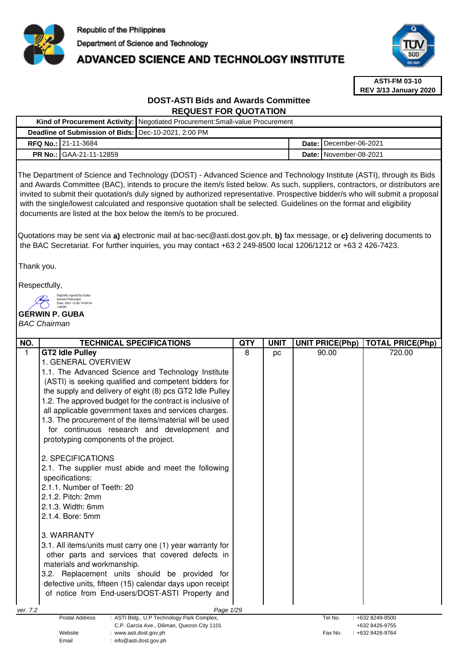

# **ADVANCED SCIENCE AND TECHNOLOGY INSTITUTE**



**ASTI-FM 03-10 REV 3/13 January 2020**

# **DOST-ASTI Bids and Awards Committee REQUEST FOR QUOTATION**

| Kind of Procurement Activity: Negotiated Procurement: Small-value Procurement |                                |  |  |                                 |
|-------------------------------------------------------------------------------|--------------------------------|--|--|---------------------------------|
| Deadline of Submission of Bids:   Dec-10-2021, 2:00 PM                        |                                |  |  |                                 |
|                                                                               | <b>RFQ No.: 21-11-3684</b>     |  |  | Date: I December-06-2021        |
|                                                                               | <b>PR No.: GAA-21-11-12859</b> |  |  | <b>Date: I</b> November-08-2021 |

The Department of Science and Technology (DOST) - Advanced Science and Technology Institute (ASTI), through its Bids and Awards Committee (BAC), intends to procure the item/s listed below. As such, suppliers, contractors, or distributors are invited to submit their quotation/s duly signed by authorized representative. Prospective bidder/s who will submit a proposal with the single/lowest calculated and responsive quotation shall be selected. Guidelines on the format and eligibility documents are listed at the box below the item/s to be procured.

Quotations may be sent via **a)** electronic mail at bac-sec@asti.dost.gov.ph, **b)** fax message, or **c)** delivering documents to the BAC Secretariat. For further inquiries, you may contact +63 2 249-8500 local 1206/1212 or +63 2 426-7423.

Thank you.

Respectfully,

Digitally signed by Guba Gerwin Policarpio Date: 2021.12.06 14:58:34

Email : info@asti.dost.gov.ph

#### **GERWIN P. GUBA**  +08'00'

# BAC Chairman

| NO.          | <b>TECHNICAL SPECIFICATIONS</b>                                                  | <b>QTY</b> | <b>UNIT</b> | <b>UNIT PRICE(Php)</b> | <b>TOTAL PRICE(Php)</b> |
|--------------|----------------------------------------------------------------------------------|------------|-------------|------------------------|-------------------------|
| $\mathbf{1}$ | <b>GT2 Idle Pulley</b>                                                           | 8          | pc          | 90.00                  | 720.00                  |
|              | 1. GENERAL OVERVIEW                                                              |            |             |                        |                         |
|              | 1.1. The Advanced Science and Technology Institute                               |            |             |                        |                         |
|              | (ASTI) is seeking qualified and competent bidders for                            |            |             |                        |                         |
|              | the supply and delivery of eight (8) pcs GT2 Idle Pulley                         |            |             |                        |                         |
|              | 1.2. The approved budget for the contract is inclusive of                        |            |             |                        |                         |
|              | all applicable government taxes and services charges.                            |            |             |                        |                         |
|              | 1.3. The procurement of the items/material will be used                          |            |             |                        |                         |
|              | for continuous research and development and                                      |            |             |                        |                         |
|              | prototyping components of the project.                                           |            |             |                        |                         |
|              |                                                                                  |            |             |                        |                         |
|              | 2. SPECIFICATIONS                                                                |            |             |                        |                         |
|              | 2.1. The supplier must abide and meet the following                              |            |             |                        |                         |
|              | specifications:<br>2.1.1. Number of Teeth: 20                                    |            |             |                        |                         |
|              | 2.1.2. Pitch: 2mm                                                                |            |             |                        |                         |
|              | 2.1.3. Width: 6mm                                                                |            |             |                        |                         |
|              | 2.1.4. Bore: 5mm                                                                 |            |             |                        |                         |
|              |                                                                                  |            |             |                        |                         |
|              | 3. WARRANTY                                                                      |            |             |                        |                         |
|              | 3.1. All items/units must carry one (1) year warranty for                        |            |             |                        |                         |
|              | other parts and services that covered defects in                                 |            |             |                        |                         |
|              | materials and workmanship.                                                       |            |             |                        |                         |
|              | 3.2. Replacement units should be provided for                                    |            |             |                        |                         |
|              | defective units, fifteen (15) calendar days upon receipt                         |            |             |                        |                         |
|              | of notice from End-users/DOST-ASTI Property and                                  |            |             |                        |                         |
|              |                                                                                  |            |             |                        |                         |
| ver. 7.2     | Page 1/29<br><b>Postal Address</b><br>: ASTI Bldg., U.P Technology Park Complex, |            |             | Tel No.                | $: +6328249-8500$       |
|              | C.P. Garcia Ave., Diliman, Quezon City 1101                                      |            |             |                        | +632 8426-9755          |
|              | Website<br>: www.asti.dost.gov.ph                                                |            |             | Fax No.                | +632 8426-9764          |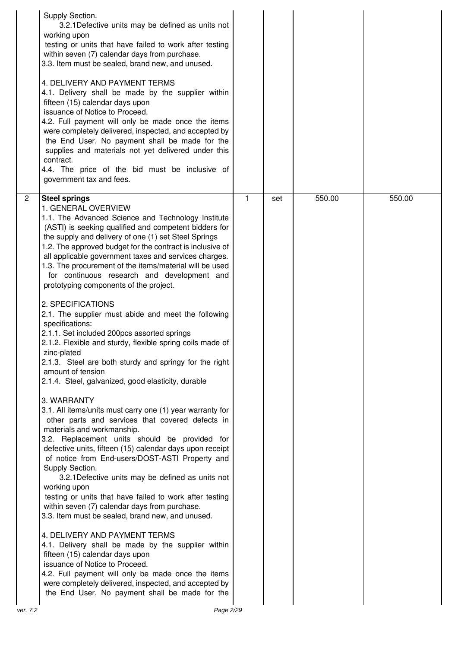|                | Supply Section.<br>3.2.1 Defective units may be defined as units not<br>working upon<br>testing or units that have failed to work after testing<br>within seven (7) calendar days from purchase.<br>3.3. Item must be sealed, brand new, and unused.<br>4. DELIVERY AND PAYMENT TERMS<br>4.1. Delivery shall be made by the supplier within<br>fifteen (15) calendar days upon<br>issuance of Notice to Proceed.<br>4.2. Full payment will only be made once the items<br>were completely delivered, inspected, and accepted by<br>the End User. No payment shall be made for the<br>supplies and materials not yet delivered under this<br>contract.<br>4.4. The price of the bid must be inclusive of<br>government tax and fees.                                                                                                                                                                                                                                                                                                                                                                                                                                                                                                                                                                                                                                                                                                                                                                                                                                                                                                                                                                                                                                            |   |     |        |        |
|----------------|--------------------------------------------------------------------------------------------------------------------------------------------------------------------------------------------------------------------------------------------------------------------------------------------------------------------------------------------------------------------------------------------------------------------------------------------------------------------------------------------------------------------------------------------------------------------------------------------------------------------------------------------------------------------------------------------------------------------------------------------------------------------------------------------------------------------------------------------------------------------------------------------------------------------------------------------------------------------------------------------------------------------------------------------------------------------------------------------------------------------------------------------------------------------------------------------------------------------------------------------------------------------------------------------------------------------------------------------------------------------------------------------------------------------------------------------------------------------------------------------------------------------------------------------------------------------------------------------------------------------------------------------------------------------------------------------------------------------------------------------------------------------------------|---|-----|--------|--------|
| $\overline{2}$ | <b>Steel springs</b><br>1. GENERAL OVERVIEW<br>1.1. The Advanced Science and Technology Institute<br>(ASTI) is seeking qualified and competent bidders for<br>the supply and delivery of one (1) set Steel Springs<br>1.2. The approved budget for the contract is inclusive of<br>all applicable government taxes and services charges.<br>1.3. The procurement of the items/material will be used<br>for continuous research and development and<br>prototyping components of the project.<br>2. SPECIFICATIONS<br>2.1. The supplier must abide and meet the following<br>specifications:<br>2.1.1. Set included 200pcs assorted springs<br>2.1.2. Flexible and sturdy, flexible spring coils made of<br>zinc-plated<br>2.1.3. Steel are both sturdy and springy for the right<br>amount of tension<br>2.1.4. Steel, galvanized, good elasticity, durable<br>3. WARRANTY<br>3.1. All items/units must carry one (1) year warranty for<br>other parts and services that covered defects in<br>materials and workmanship.<br>3.2. Replacement units should be provided for<br>defective units, fifteen (15) calendar days upon receipt<br>of notice from End-users/DOST-ASTI Property and<br>Supply Section.<br>3.2.1 Defective units may be defined as units not<br>working upon<br>testing or units that have failed to work after testing<br>within seven (7) calendar days from purchase.<br>3.3. Item must be sealed, brand new, and unused.<br>4. DELIVERY AND PAYMENT TERMS<br>4.1. Delivery shall be made by the supplier within<br>fifteen (15) calendar days upon<br>issuance of Notice to Proceed.<br>4.2. Full payment will only be made once the items<br>were completely delivered, inspected, and accepted by<br>the End User. No payment shall be made for the | 1 | set | 550.00 | 550.00 |
| ver. 7.2       | Page 2/29                                                                                                                                                                                                                                                                                                                                                                                                                                                                                                                                                                                                                                                                                                                                                                                                                                                                                                                                                                                                                                                                                                                                                                                                                                                                                                                                                                                                                                                                                                                                                                                                                                                                                                                                                                      |   |     |        |        |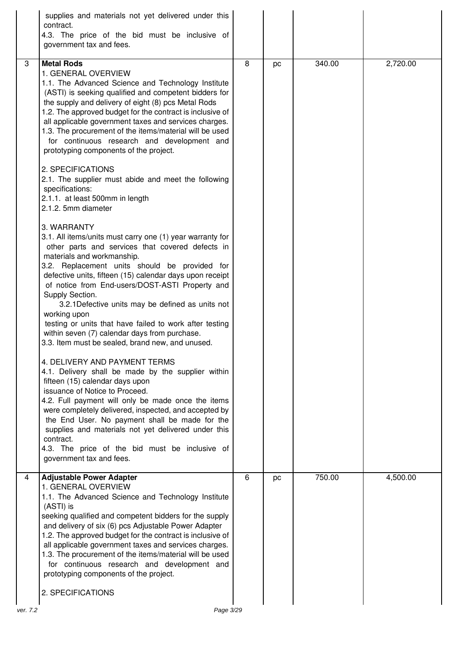|   | supplies and materials not yet delivered under this<br>contract.<br>4.3. The price of the bid must be inclusive of<br>government tax and fees.                                                                                                                                                                                                                                                                                                                                                                                                                                                                                                                                                                                                                                                                                                                                                                                                                                                                                                                                                                                                                                                                                                                                                                                                                                                                                                                                                                                                                                                                                                                                                                         |   |    |        |          |
|---|------------------------------------------------------------------------------------------------------------------------------------------------------------------------------------------------------------------------------------------------------------------------------------------------------------------------------------------------------------------------------------------------------------------------------------------------------------------------------------------------------------------------------------------------------------------------------------------------------------------------------------------------------------------------------------------------------------------------------------------------------------------------------------------------------------------------------------------------------------------------------------------------------------------------------------------------------------------------------------------------------------------------------------------------------------------------------------------------------------------------------------------------------------------------------------------------------------------------------------------------------------------------------------------------------------------------------------------------------------------------------------------------------------------------------------------------------------------------------------------------------------------------------------------------------------------------------------------------------------------------------------------------------------------------------------------------------------------------|---|----|--------|----------|
| 3 | <b>Metal Rods</b><br>1. GENERAL OVERVIEW<br>1.1. The Advanced Science and Technology Institute<br>(ASTI) is seeking qualified and competent bidders for<br>the supply and delivery of eight (8) pcs Metal Rods<br>1.2. The approved budget for the contract is inclusive of<br>all applicable government taxes and services charges.<br>1.3. The procurement of the items/material will be used<br>for continuous research and development and<br>prototyping components of the project.<br>2. SPECIFICATIONS<br>2.1. The supplier must abide and meet the following<br>specifications:<br>2.1.1. at least 500mm in length<br>2.1.2. 5mm diameter<br>3. WARRANTY<br>3.1. All items/units must carry one (1) year warranty for<br>other parts and services that covered defects in<br>materials and workmanship.<br>3.2. Replacement units should be provided for<br>defective units, fifteen (15) calendar days upon receipt<br>of notice from End-users/DOST-ASTI Property and<br>Supply Section.<br>3.2.1 Defective units may be defined as units not<br>working upon<br>testing or units that have failed to work after testing<br>within seven (7) calendar days from purchase.<br>3.3. Item must be sealed, brand new, and unused.<br>4. DELIVERY AND PAYMENT TERMS<br>4.1. Delivery shall be made by the supplier within<br>fifteen (15) calendar days upon<br>issuance of Notice to Proceed.<br>4.2. Full payment will only be made once the items<br>were completely delivered, inspected, and accepted by<br>the End User. No payment shall be made for the<br>supplies and materials not yet delivered under this<br>contract.<br>4.3. The price of the bid must be inclusive of<br>government tax and fees. | 8 | pc | 340.00 | 2,720.00 |
| 4 | <b>Adjustable Power Adapter</b><br>1. GENERAL OVERVIEW<br>1.1. The Advanced Science and Technology Institute<br>(ASTI) is<br>seeking qualified and competent bidders for the supply<br>and delivery of six (6) pcs Adjustable Power Adapter<br>1.2. The approved budget for the contract is inclusive of<br>all applicable government taxes and services charges.<br>1.3. The procurement of the items/material will be used<br>for continuous research and development and<br>prototyping components of the project.<br>2. SPECIFICATIONS                                                                                                                                                                                                                                                                                                                                                                                                                                                                                                                                                                                                                                                                                                                                                                                                                                                                                                                                                                                                                                                                                                                                                                             | 6 | pc | 750.00 | 4,500.00 |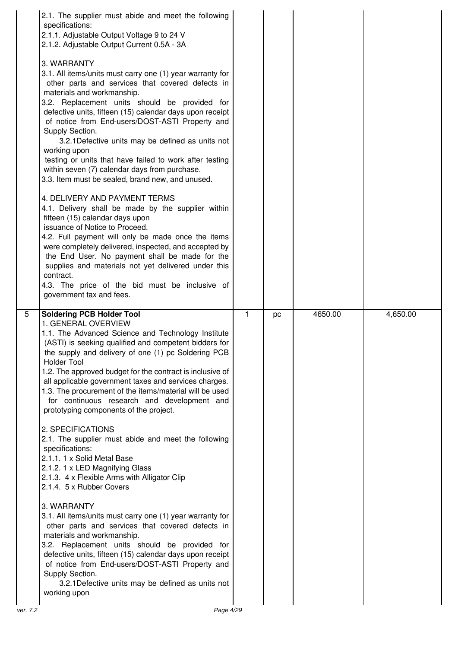|                | 2.1. The supplier must abide and meet the following<br>specifications:<br>2.1.1. Adjustable Output Voltage 9 to 24 V<br>2.1.2. Adjustable Output Current 0.5A - 3A<br>3. WARRANTY<br>3.1. All items/units must carry one (1) year warranty for<br>other parts and services that covered defects in<br>materials and workmanship.<br>3.2. Replacement units should be provided for<br>defective units, fifteen (15) calendar days upon receipt<br>of notice from End-users/DOST-ASTI Property and<br>Supply Section.<br>3.2.1 Defective units may be defined as units not<br>working upon<br>testing or units that have failed to work after testing<br>within seven (7) calendar days from purchase.<br>3.3. Item must be sealed, brand new, and unused.<br>4. DELIVERY AND PAYMENT TERMS<br>4.1. Delivery shall be made by the supplier within<br>fifteen (15) calendar days upon<br>issuance of Notice to Proceed.<br>4.2. Full payment will only be made once the items<br>were completely delivered, inspected, and accepted by<br>the End User. No payment shall be made for the<br>supplies and materials not yet delivered under this<br>contract.<br>4.3. The price of the bid must be inclusive of<br>government tax and fees. |   |    |         |          |
|----------------|-----------------------------------------------------------------------------------------------------------------------------------------------------------------------------------------------------------------------------------------------------------------------------------------------------------------------------------------------------------------------------------------------------------------------------------------------------------------------------------------------------------------------------------------------------------------------------------------------------------------------------------------------------------------------------------------------------------------------------------------------------------------------------------------------------------------------------------------------------------------------------------------------------------------------------------------------------------------------------------------------------------------------------------------------------------------------------------------------------------------------------------------------------------------------------------------------------------------------------------------|---|----|---------|----------|
| $\overline{5}$ | <b>Soldering PCB Holder Tool</b><br>1. GENERAL OVERVIEW<br>1.1. The Advanced Science and Technology Institute<br>(ASTI) is seeking qualified and competent bidders for<br>the supply and delivery of one (1) pc Soldering PCB<br><b>Holder Tool</b><br>1.2. The approved budget for the contract is inclusive of<br>all applicable government taxes and services charges.<br>1.3. The procurement of the items/material will be used<br>for continuous research and development and<br>prototyping components of the project.<br>2. SPECIFICATIONS<br>2.1. The supplier must abide and meet the following<br>specifications:                                                                                                                                                                                                                                                                                                                                                                                                                                                                                                                                                                                                            | 1 | pc | 4650.00 | 4,650.00 |
|                | 2.1.1. 1 x Solid Metal Base<br>2.1.2. 1 x LED Magnifying Glass<br>2.1.3. 4 x Flexible Arms with Alligator Clip<br>2.1.4. 5 x Rubber Covers                                                                                                                                                                                                                                                                                                                                                                                                                                                                                                                                                                                                                                                                                                                                                                                                                                                                                                                                                                                                                                                                                              |   |    |         |          |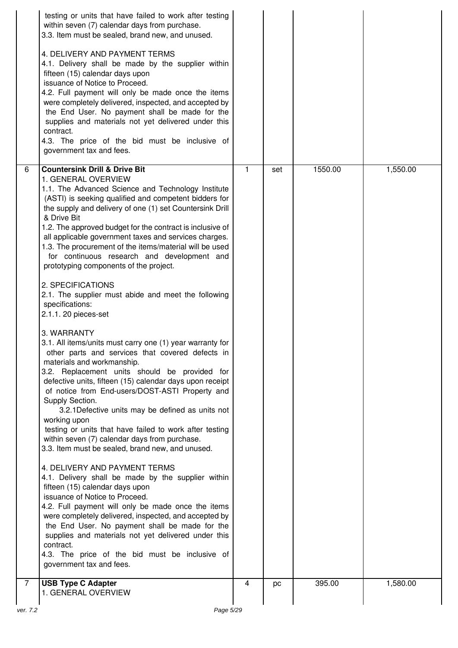|   | testing or units that have failed to work after testing<br>within seven (7) calendar days from purchase.<br>3.3. Item must be sealed, brand new, and unused.<br>4. DELIVERY AND PAYMENT TERMS<br>4.1. Delivery shall be made by the supplier within<br>fifteen (15) calendar days upon<br>issuance of Notice to Proceed.<br>4.2. Full payment will only be made once the items<br>were completely delivered, inspected, and accepted by<br>the End User. No payment shall be made for the<br>supplies and materials not yet delivered under this<br>contract.<br>4.3. The price of the bid must be inclusive of<br>government tax and fees.                                                                                                                                                                                                                                                                                                                                                                                                                                                                                                                                                                                                                                                                                                                                                                                                                                                                                                                                                                                                                                                                                     |              |     |         |          |
|---|---------------------------------------------------------------------------------------------------------------------------------------------------------------------------------------------------------------------------------------------------------------------------------------------------------------------------------------------------------------------------------------------------------------------------------------------------------------------------------------------------------------------------------------------------------------------------------------------------------------------------------------------------------------------------------------------------------------------------------------------------------------------------------------------------------------------------------------------------------------------------------------------------------------------------------------------------------------------------------------------------------------------------------------------------------------------------------------------------------------------------------------------------------------------------------------------------------------------------------------------------------------------------------------------------------------------------------------------------------------------------------------------------------------------------------------------------------------------------------------------------------------------------------------------------------------------------------------------------------------------------------------------------------------------------------------------------------------------------------|--------------|-----|---------|----------|
| 6 | <b>Countersink Drill &amp; Drive Bit</b><br>1. GENERAL OVERVIEW<br>1.1. The Advanced Science and Technology Institute<br>(ASTI) is seeking qualified and competent bidders for<br>the supply and delivery of one (1) set Countersink Drill<br>& Drive Bit<br>1.2. The approved budget for the contract is inclusive of<br>all applicable government taxes and services charges.<br>1.3. The procurement of the items/material will be used<br>for continuous research and development and<br>prototyping components of the project.<br>2. SPECIFICATIONS<br>2.1. The supplier must abide and meet the following<br>specifications:<br>2.1.1. 20 pieces-set<br>3. WARRANTY<br>3.1. All items/units must carry one (1) year warranty for<br>other parts and services that covered defects in<br>materials and workmanship.<br>3.2. Replacement units should be provided for<br>defective units, fifteen (15) calendar days upon receipt<br>of notice from End-users/DOST-ASTI Property and<br>Supply Section.<br>3.2.1 Defective units may be defined as units not<br>working upon<br>testing or units that have failed to work after testing<br>within seven (7) calendar days from purchase.<br>3.3. Item must be sealed, brand new, and unused.<br>4. DELIVERY AND PAYMENT TERMS<br>4.1. Delivery shall be made by the supplier within<br>fifteen (15) calendar days upon<br>issuance of Notice to Proceed.<br>4.2. Full payment will only be made once the items<br>were completely delivered, inspected, and accepted by<br>the End User. No payment shall be made for the<br>supplies and materials not yet delivered under this<br>contract.<br>4.3. The price of the bid must be inclusive of<br>government tax and fees. | $\mathbf{1}$ | set | 1550.00 | 1,550.00 |
| 7 | <b>USB Type C Adapter</b><br>1. GENERAL OVERVIEW                                                                                                                                                                                                                                                                                                                                                                                                                                                                                                                                                                                                                                                                                                                                                                                                                                                                                                                                                                                                                                                                                                                                                                                                                                                                                                                                                                                                                                                                                                                                                                                                                                                                                | 4            | pc  | 395.00  | 1,580.00 |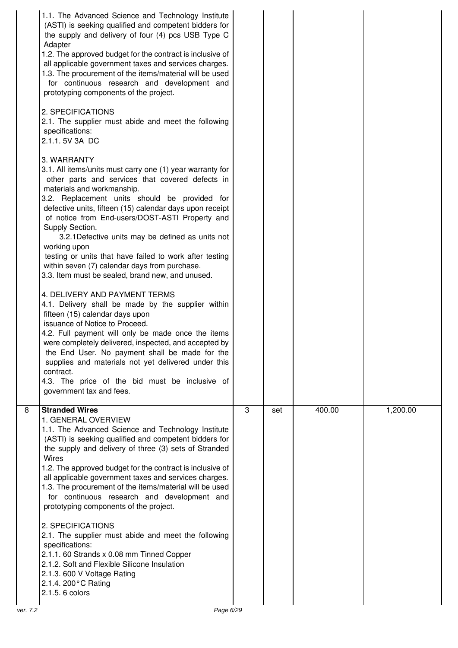| Adapter<br>contract. | 1.1. The Advanced Science and Technology Institute<br>(ASTI) is seeking qualified and competent bidders for<br>the supply and delivery of four (4) pcs USB Type C<br>1.2. The approved budget for the contract is inclusive of<br>all applicable government taxes and services charges.<br>1.3. The procurement of the items/material will be used<br>for continuous research and development and<br>prototyping components of the project.<br>2. SPECIFICATIONS<br>2.1. The supplier must abide and meet the following<br>specifications:<br>2.1.1.5V 3A DC<br>3. WARRANTY<br>3.1. All items/units must carry one (1) year warranty for<br>other parts and services that covered defects in<br>materials and workmanship.<br>3.2. Replacement units should be provided for<br>defective units, fifteen (15) calendar days upon receipt<br>of notice from End-users/DOST-ASTI Property and<br>Supply Section.<br>3.2.1 Defective units may be defined as units not<br>working upon<br>testing or units that have failed to work after testing<br>within seven (7) calendar days from purchase.<br>3.3. Item must be sealed, brand new, and unused.<br>4. DELIVERY AND PAYMENT TERMS<br>4.1. Delivery shall be made by the supplier within<br>fifteen (15) calendar days upon<br>issuance of Notice to Proceed.<br>4.2. Full payment will only be made once the items<br>were completely delivered, inspected, and accepted by<br>the End User. No payment shall be made for the<br>supplies and materials not yet delivered under this<br>4.3. The price of the bid must be inclusive of<br>government tax and fees. |   |     |        |          |
|----------------------|----------------------------------------------------------------------------------------------------------------------------------------------------------------------------------------------------------------------------------------------------------------------------------------------------------------------------------------------------------------------------------------------------------------------------------------------------------------------------------------------------------------------------------------------------------------------------------------------------------------------------------------------------------------------------------------------------------------------------------------------------------------------------------------------------------------------------------------------------------------------------------------------------------------------------------------------------------------------------------------------------------------------------------------------------------------------------------------------------------------------------------------------------------------------------------------------------------------------------------------------------------------------------------------------------------------------------------------------------------------------------------------------------------------------------------------------------------------------------------------------------------------------------------------------------------------------------------------------------------------------|---|-----|--------|----------|
| 8<br>Wires           | <b>Stranded Wires</b><br>1. GENERAL OVERVIEW<br>1.1. The Advanced Science and Technology Institute<br>(ASTI) is seeking qualified and competent bidders for<br>the supply and delivery of three (3) sets of Stranded<br>1.2. The approved budget for the contract is inclusive of<br>all applicable government taxes and services charges.<br>1.3. The procurement of the items/material will be used<br>for continuous research and development and<br>prototyping components of the project.<br>2. SPECIFICATIONS<br>2.1. The supplier must abide and meet the following<br>specifications:<br>2.1.1. 60 Strands x 0.08 mm Tinned Copper<br>2.1.2. Soft and Flexible Silicone Insulation<br>2.1.3. 600 V Voltage Rating<br>2.1.4. 200°C Rating<br>2.1.5. 6 colors                                                                                                                                                                                                                                                                                                                                                                                                                                                                                                                                                                                                                                                                                                                                                                                                                                                  | 3 | set | 400.00 | 1,200.00 |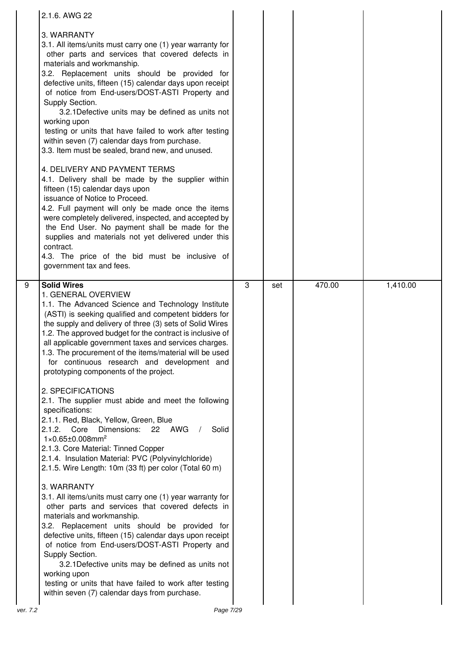|          | 2.1.6. AWG 22                                                                                                                                                                                                                                                                                                                                                                                                                                                                                                                                                                                                                                                             |   |     |        |          |
|----------|---------------------------------------------------------------------------------------------------------------------------------------------------------------------------------------------------------------------------------------------------------------------------------------------------------------------------------------------------------------------------------------------------------------------------------------------------------------------------------------------------------------------------------------------------------------------------------------------------------------------------------------------------------------------------|---|-----|--------|----------|
|          | 3. WARRANTY<br>3.1. All items/units must carry one (1) year warranty for<br>other parts and services that covered defects in<br>materials and workmanship.<br>3.2. Replacement units should be provided for<br>defective units, fifteen (15) calendar days upon receipt<br>of notice from End-users/DOST-ASTI Property and<br>Supply Section.<br>3.2.1 Defective units may be defined as units not<br>working upon<br>testing or units that have failed to work after testing<br>within seven (7) calendar days from purchase.<br>3.3. Item must be sealed, brand new, and unused.<br>4. DELIVERY AND PAYMENT TERMS<br>4.1. Delivery shall be made by the supplier within |   |     |        |          |
|          | fifteen (15) calendar days upon<br>issuance of Notice to Proceed.<br>4.2. Full payment will only be made once the items<br>were completely delivered, inspected, and accepted by<br>the End User. No payment shall be made for the<br>supplies and materials not yet delivered under this<br>contract.<br>4.3. The price of the bid must be inclusive of<br>government tax and fees.                                                                                                                                                                                                                                                                                      |   |     |        |          |
| 9        | <b>Solid Wires</b><br>1. GENERAL OVERVIEW<br>1.1. The Advanced Science and Technology Institute<br>(ASTI) is seeking qualified and competent bidders for<br>the supply and delivery of three (3) sets of Solid Wires<br>1.2. The approved budget for the contract is inclusive of<br>all applicable government taxes and services charges.<br>1.3. The procurement of the items/material will be used<br>for continuous research and development and<br>prototyping components of the project.                                                                                                                                                                            | 3 | set | 470.00 | 1,410.00 |
|          | 2. SPECIFICATIONS<br>2.1. The supplier must abide and meet the following<br>specifications:<br>2.1.1. Red, Black, Yellow, Green, Blue<br>2.1.2. Core<br>Dimensions:<br>22 AWG<br>Solid<br>$1 \times 0.65 \pm 0.008$ mm <sup>2</sup><br>2.1.3. Core Material: Tinned Copper<br>2.1.4. Insulation Material: PVC (Polyvinylchloride)<br>2.1.5. Wire Length: 10m (33 ft) per color (Total 60 m)                                                                                                                                                                                                                                                                               |   |     |        |          |
|          | 3. WARRANTY<br>3.1. All items/units must carry one (1) year warranty for<br>other parts and services that covered defects in<br>materials and workmanship.<br>3.2. Replacement units should be provided for<br>defective units, fifteen (15) calendar days upon receipt<br>of notice from End-users/DOST-ASTI Property and<br>Supply Section.<br>3.2.1 Defective units may be defined as units not<br>working upon<br>testing or units that have failed to work after testing<br>within seven (7) calendar days from purchase.                                                                                                                                            |   |     |        |          |
| ver. 7.2 | Page 7/29                                                                                                                                                                                                                                                                                                                                                                                                                                                                                                                                                                                                                                                                 |   |     |        |          |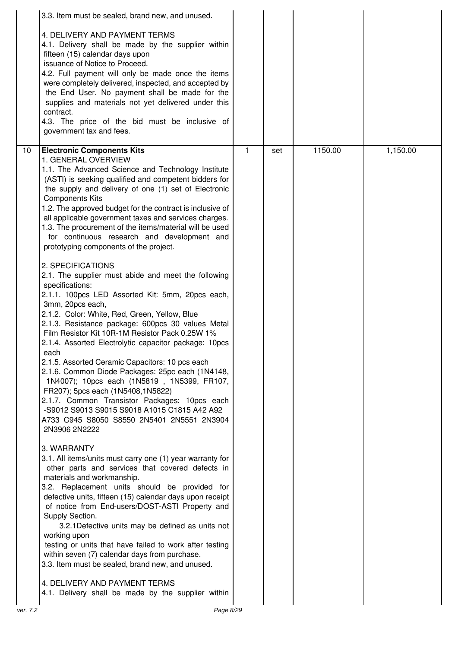|                 | 3.3. Item must be sealed, brand new, and unused.                                                                                                                                                                                                                                                                                                                                                                                                                                                                                                                                                                                                                                                                                                                                                                                                                                                                                                                                                                                                                                                                                                                                                                                                                                                                                                                                                                                                                                                                                                                                                                                                                                                                                                                                                                                                                                                                       |              |     |         |          |
|-----------------|------------------------------------------------------------------------------------------------------------------------------------------------------------------------------------------------------------------------------------------------------------------------------------------------------------------------------------------------------------------------------------------------------------------------------------------------------------------------------------------------------------------------------------------------------------------------------------------------------------------------------------------------------------------------------------------------------------------------------------------------------------------------------------------------------------------------------------------------------------------------------------------------------------------------------------------------------------------------------------------------------------------------------------------------------------------------------------------------------------------------------------------------------------------------------------------------------------------------------------------------------------------------------------------------------------------------------------------------------------------------------------------------------------------------------------------------------------------------------------------------------------------------------------------------------------------------------------------------------------------------------------------------------------------------------------------------------------------------------------------------------------------------------------------------------------------------------------------------------------------------------------------------------------------------|--------------|-----|---------|----------|
|                 | 4. DELIVERY AND PAYMENT TERMS<br>4.1. Delivery shall be made by the supplier within<br>fifteen (15) calendar days upon<br>issuance of Notice to Proceed.<br>4.2. Full payment will only be made once the items<br>were completely delivered, inspected, and accepted by<br>the End User. No payment shall be made for the<br>supplies and materials not yet delivered under this<br>contract.<br>4.3. The price of the bid must be inclusive of<br>government tax and fees.                                                                                                                                                                                                                                                                                                                                                                                                                                                                                                                                                                                                                                                                                                                                                                                                                                                                                                                                                                                                                                                                                                                                                                                                                                                                                                                                                                                                                                            |              |     |         |          |
| 10 <sup>1</sup> | <b>Electronic Components Kits</b><br>1. GENERAL OVERVIEW<br>1.1. The Advanced Science and Technology Institute<br>(ASTI) is seeking qualified and competent bidders for<br>the supply and delivery of one (1) set of Electronic<br><b>Components Kits</b><br>1.2. The approved budget for the contract is inclusive of<br>all applicable government taxes and services charges.<br>1.3. The procurement of the items/material will be used<br>for continuous research and development and<br>prototyping components of the project.<br>2. SPECIFICATIONS<br>2.1. The supplier must abide and meet the following<br>specifications:<br>2.1.1. 100pcs LED Assorted Kit: 5mm, 20pcs each,<br>3mm, 20pcs each,<br>2.1.2. Color: White, Red, Green, Yellow, Blue<br>2.1.3. Resistance package: 600pcs 30 values Metal<br>Film Resistor Kit 10R-1M Resistor Pack 0.25W 1%<br>2.1.4. Assorted Electrolytic capacitor package: 10pcs<br>each<br>2.1.5. Assorted Ceramic Capacitors: 10 pcs each<br>2.1.6. Common Diode Packages: 25pc each (1N4148,<br>1N4007); 10pcs each (1N5819, 1N5399, FR107,<br>FR207); 5pcs each (1N5408,1N5822)<br>2.1.7. Common Transistor Packages: 10pcs each<br>-S9012 S9013 S9015 S9018 A1015 C1815 A42 A92<br>A733 C945 S8050 S8550 2N5401 2N5551 2N3904<br>2N3906 2N2222<br>3. WARRANTY<br>3.1. All items/units must carry one (1) year warranty for<br>other parts and services that covered defects in<br>materials and workmanship.<br>3.2. Replacement units should be provided for<br>defective units, fifteen (15) calendar days upon receipt<br>of notice from End-users/DOST-ASTI Property and<br>Supply Section.<br>3.2.1 Defective units may be defined as units not<br>working upon<br>testing or units that have failed to work after testing<br>within seven (7) calendar days from purchase.<br>3.3. Item must be sealed, brand new, and unused.<br>4. DELIVERY AND PAYMENT TERMS | $\mathbf{1}$ | set | 1150.00 | 1,150.00 |
|                 | 4.1. Delivery shall be made by the supplier within                                                                                                                                                                                                                                                                                                                                                                                                                                                                                                                                                                                                                                                                                                                                                                                                                                                                                                                                                                                                                                                                                                                                                                                                                                                                                                                                                                                                                                                                                                                                                                                                                                                                                                                                                                                                                                                                     |              |     |         |          |
| ver. 7.2        | Page 8/29                                                                                                                                                                                                                                                                                                                                                                                                                                                                                                                                                                                                                                                                                                                                                                                                                                                                                                                                                                                                                                                                                                                                                                                                                                                                                                                                                                                                                                                                                                                                                                                                                                                                                                                                                                                                                                                                                                              |              |     |         |          |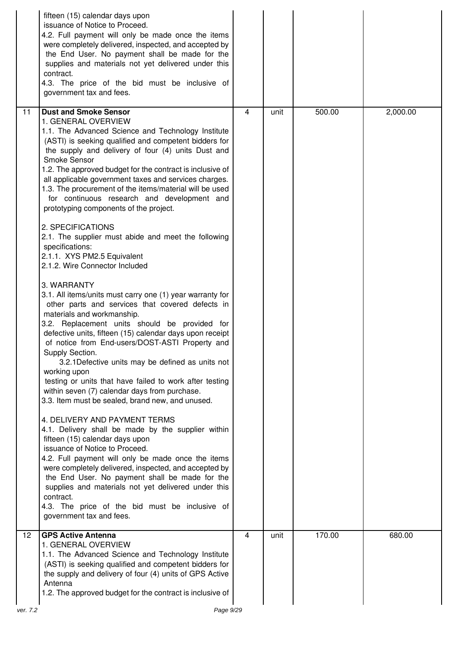|                   | fifteen (15) calendar days upon<br>issuance of Notice to Proceed.<br>4.2. Full payment will only be made once the items<br>were completely delivered, inspected, and accepted by<br>the End User. No payment shall be made for the<br>supplies and materials not yet delivered under this<br>contract.<br>4.3. The price of the bid must be inclusive of<br>government tax and fees.                                                                                                                                                                                                                                                                                                                                                                                                                                                                                                                                                                                                                                                                                                                                                                                                                                                                                                                                                                                                                                                                                                                                                                                                                                                                                                                                                                    |                |      |        |          |
|-------------------|---------------------------------------------------------------------------------------------------------------------------------------------------------------------------------------------------------------------------------------------------------------------------------------------------------------------------------------------------------------------------------------------------------------------------------------------------------------------------------------------------------------------------------------------------------------------------------------------------------------------------------------------------------------------------------------------------------------------------------------------------------------------------------------------------------------------------------------------------------------------------------------------------------------------------------------------------------------------------------------------------------------------------------------------------------------------------------------------------------------------------------------------------------------------------------------------------------------------------------------------------------------------------------------------------------------------------------------------------------------------------------------------------------------------------------------------------------------------------------------------------------------------------------------------------------------------------------------------------------------------------------------------------------------------------------------------------------------------------------------------------------|----------------|------|--------|----------|
| 11                | <b>Dust and Smoke Sensor</b><br>1. GENERAL OVERVIEW<br>1.1. The Advanced Science and Technology Institute<br>(ASTI) is seeking qualified and competent bidders for<br>the supply and delivery of four (4) units Dust and<br>Smoke Sensor<br>1.2. The approved budget for the contract is inclusive of<br>all applicable government taxes and services charges.<br>1.3. The procurement of the items/material will be used<br>for continuous research and development and<br>prototyping components of the project.<br>2. SPECIFICATIONS<br>2.1. The supplier must abide and meet the following<br>specifications:<br>2.1.1. XYS PM2.5 Equivalent<br>2.1.2. Wire Connector Included<br>3. WARRANTY<br>3.1. All items/units must carry one (1) year warranty for<br>other parts and services that covered defects in<br>materials and workmanship.<br>3.2. Replacement units should be provided for<br>defective units, fifteen (15) calendar days upon receipt<br>of notice from End-users/DOST-ASTI Property and<br>Supply Section.<br>3.2.1 Defective units may be defined as units not<br>working upon<br>testing or units that have failed to work after testing<br>within seven (7) calendar days from purchase.<br>3.3. Item must be sealed, brand new, and unused.<br>4. DELIVERY AND PAYMENT TERMS<br>4.1. Delivery shall be made by the supplier within<br>fifteen (15) calendar days upon<br>issuance of Notice to Proceed.<br>4.2. Full payment will only be made once the items<br>were completely delivered, inspected, and accepted by<br>the End User. No payment shall be made for the<br>supplies and materials not yet delivered under this<br>contract.<br>4.3. The price of the bid must be inclusive of<br>government tax and fees. | 4              | unit | 500.00 | 2,000.00 |
| $12 \overline{ }$ | <b>GPS Active Antenna</b><br>1. GENERAL OVERVIEW<br>1.1. The Advanced Science and Technology Institute<br>(ASTI) is seeking qualified and competent bidders for<br>the supply and delivery of four (4) units of GPS Active<br>Antenna<br>1.2. The approved budget for the contract is inclusive of                                                                                                                                                                                                                                                                                                                                                                                                                                                                                                                                                                                                                                                                                                                                                                                                                                                                                                                                                                                                                                                                                                                                                                                                                                                                                                                                                                                                                                                      | $\overline{4}$ | unit | 170.00 | 680.00   |
| ver. 7.2          | Page 9/29                                                                                                                                                                                                                                                                                                                                                                                                                                                                                                                                                                                                                                                                                                                                                                                                                                                                                                                                                                                                                                                                                                                                                                                                                                                                                                                                                                                                                                                                                                                                                                                                                                                                                                                                               |                |      |        |          |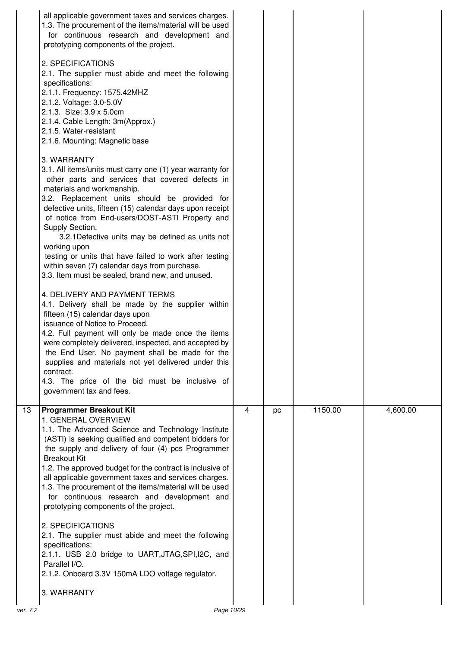|    | all applicable government taxes and services charges.<br>1.3. The procurement of the items/material will be used<br>for continuous research and development and<br>prototyping components of the project.<br>2. SPECIFICATIONS<br>2.1. The supplier must abide and meet the following<br>specifications:<br>2.1.1. Frequency: 1575.42MHZ<br>2.1.2. Voltage: 3.0-5.0V<br>2.1.3. Size: 3.9 x 5.0cm<br>2.1.4. Cable Length: 3m(Approx.)<br>2.1.5. Water-resistant<br>2.1.6. Mounting: Magnetic base<br>3. WARRANTY<br>3.1. All items/units must carry one (1) year warranty for<br>other parts and services that covered defects in<br>materials and workmanship.<br>3.2. Replacement units should be provided for<br>defective units, fifteen (15) calendar days upon receipt<br>of notice from End-users/DOST-ASTI Property and<br>Supply Section.<br>3.2.1 Defective units may be defined as units not<br>working upon<br>testing or units that have failed to work after testing<br>within seven (7) calendar days from purchase.<br>3.3. Item must be sealed, brand new, and unused.<br>4. DELIVERY AND PAYMENT TERMS<br>4.1. Delivery shall be made by the supplier within<br>fifteen (15) calendar days upon<br>issuance of Notice to Proceed.<br>4.2. Full payment will only be made once the items<br>were completely delivered, inspected, and accepted by<br>the End User. No payment shall be made for the<br>supplies and materials not yet delivered under this<br>contract.<br>4.3. The price of the bid must be inclusive of<br>government tax and fees. |   |    |         |          |
|----|-----------------------------------------------------------------------------------------------------------------------------------------------------------------------------------------------------------------------------------------------------------------------------------------------------------------------------------------------------------------------------------------------------------------------------------------------------------------------------------------------------------------------------------------------------------------------------------------------------------------------------------------------------------------------------------------------------------------------------------------------------------------------------------------------------------------------------------------------------------------------------------------------------------------------------------------------------------------------------------------------------------------------------------------------------------------------------------------------------------------------------------------------------------------------------------------------------------------------------------------------------------------------------------------------------------------------------------------------------------------------------------------------------------------------------------------------------------------------------------------------------------------------------------------------------------------------|---|----|---------|----------|
|    |                                                                                                                                                                                                                                                                                                                                                                                                                                                                                                                                                                                                                                                                                                                                                                                                                                                                                                                                                                                                                                                                                                                                                                                                                                                                                                                                                                                                                                                                                                                                                                       |   |    |         |          |
| 13 | <b>Programmer Breakout Kit</b><br>1. GENERAL OVERVIEW<br>1.1. The Advanced Science and Technology Institute<br>(ASTI) is seeking qualified and competent bidders for<br>the supply and delivery of four (4) pcs Programmer<br><b>Breakout Kit</b><br>1.2. The approved budget for the contract is inclusive of<br>all applicable government taxes and services charges.<br>1.3. The procurement of the items/material will be used<br>for continuous research and development and<br>prototyping components of the project.<br>2. SPECIFICATIONS<br>2.1. The supplier must abide and meet the following<br>specifications:                                                                                                                                                                                                                                                                                                                                                                                                                                                                                                                                                                                                                                                                                                                                                                                                                                                                                                                                            | 4 | pc | 1150.00 | 4,600.00 |
|    | 2.1.1. USB 2.0 bridge to UART, JTAG, SPI, I2C, and<br>Parallel I/O.<br>2.1.2. Onboard 3.3V 150mA LDO voltage regulator.                                                                                                                                                                                                                                                                                                                                                                                                                                                                                                                                                                                                                                                                                                                                                                                                                                                                                                                                                                                                                                                                                                                                                                                                                                                                                                                                                                                                                                               |   |    |         |          |
|    | 3. WARRANTY                                                                                                                                                                                                                                                                                                                                                                                                                                                                                                                                                                                                                                                                                                                                                                                                                                                                                                                                                                                                                                                                                                                                                                                                                                                                                                                                                                                                                                                                                                                                                           |   |    |         |          |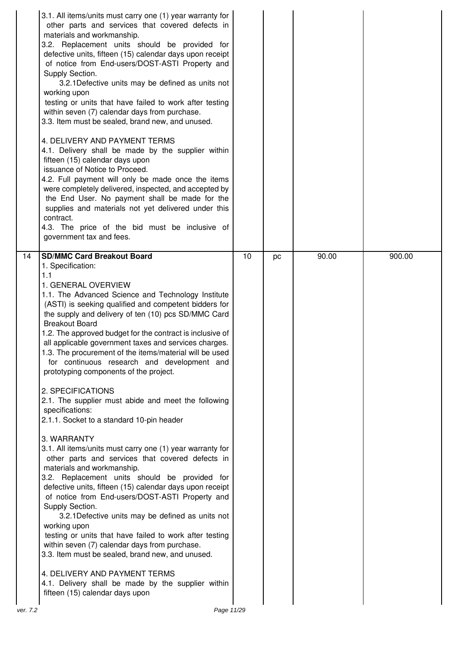| 3.1. All items/units must carry one (1) year warranty for<br>other parts and services that covered defects in<br>materials and workmanship.<br>3.2. Replacement units should be provided for<br>defective units, fifteen (15) calendar days upon receipt<br>of notice from End-users/DOST-ASTI Property and<br>Supply Section.<br>3.2.1 Defective units may be defined as units not<br>working upon<br>testing or units that have failed to work after testing<br>within seven (7) calendar days from purchase.<br>3.3. Item must be sealed, brand new, and unused.<br>4. DELIVERY AND PAYMENT TERMS<br>4.1. Delivery shall be made by the supplier within<br>fifteen (15) calendar days upon<br>issuance of Notice to Proceed.<br>4.2. Full payment will only be made once the items<br>were completely delivered, inspected, and accepted by<br>the End User. No payment shall be made for the<br>supplies and materials not yet delivered under this<br>contract.<br>4.3. The price of the bid must be inclusive of<br>government tax and fees.                                                                                                                                                                                                                                                                                                                                                                              |    |    |       |        |
|---------------------------------------------------------------------------------------------------------------------------------------------------------------------------------------------------------------------------------------------------------------------------------------------------------------------------------------------------------------------------------------------------------------------------------------------------------------------------------------------------------------------------------------------------------------------------------------------------------------------------------------------------------------------------------------------------------------------------------------------------------------------------------------------------------------------------------------------------------------------------------------------------------------------------------------------------------------------------------------------------------------------------------------------------------------------------------------------------------------------------------------------------------------------------------------------------------------------------------------------------------------------------------------------------------------------------------------------------------------------------------------------------------------------------------|----|----|-------|--------|
| 14<br><b>SD/MMC Card Breakout Board</b><br>1. Specification:<br>1.1<br>1. GENERAL OVERVIEW<br>1.1. The Advanced Science and Technology Institute<br>(ASTI) is seeking qualified and competent bidders for<br>the supply and delivery of ten (10) pcs SD/MMC Card<br><b>Breakout Board</b><br>1.2. The approved budget for the contract is inclusive of<br>all applicable government taxes and services charges.<br>1.3. The procurement of the items/material will be used<br>for continuous research and development and<br>prototyping components of the project.<br>2. SPECIFICATIONS<br>2.1. The supplier must abide and meet the following<br>specifications:<br>2.1.1. Socket to a standard 10-pin header<br>3. WARRANTY<br>3.1. All items/units must carry one (1) year warranty for<br>other parts and services that covered defects in<br>materials and workmanship.<br>3.2. Replacement units should be provided for<br>defective units, fifteen (15) calendar days upon receipt<br>of notice from End-users/DOST-ASTI Property and<br>Supply Section.<br>3.2.1 Defective units may be defined as units not<br>working upon<br>testing or units that have failed to work after testing<br>within seven (7) calendar days from purchase.<br>3.3. Item must be sealed, brand new, and unused.<br>4. DELIVERY AND PAYMENT TERMS<br>4.1. Delivery shall be made by the supplier within<br>fifteen (15) calendar days upon | 10 | pc | 90.00 | 900.00 |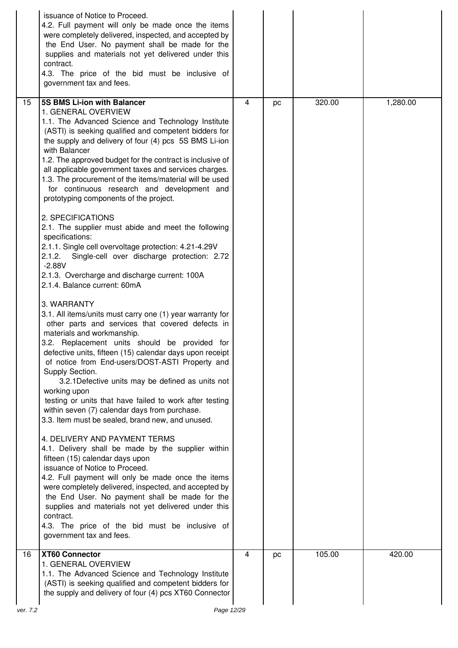|                | issuance of Notice to Proceed.<br>4.2. Full payment will only be made once the items<br>were completely delivered, inspected, and accepted by<br>the End User. No payment shall be made for the<br>supplies and materials not yet delivered under this<br>contract.<br>4.3. The price of the bid must be inclusive of<br>government tax and fees.                                                                                                                                                                                                                                                                                                                                                                                                                                                                                                                                                                                                                                                                                                                                                                                                                                                                                                                                                                                                                                                                                                                                                                                                                                                                                                                                                                                                                                                                                                                                                        |   |    |        |          |
|----------------|----------------------------------------------------------------------------------------------------------------------------------------------------------------------------------------------------------------------------------------------------------------------------------------------------------------------------------------------------------------------------------------------------------------------------------------------------------------------------------------------------------------------------------------------------------------------------------------------------------------------------------------------------------------------------------------------------------------------------------------------------------------------------------------------------------------------------------------------------------------------------------------------------------------------------------------------------------------------------------------------------------------------------------------------------------------------------------------------------------------------------------------------------------------------------------------------------------------------------------------------------------------------------------------------------------------------------------------------------------------------------------------------------------------------------------------------------------------------------------------------------------------------------------------------------------------------------------------------------------------------------------------------------------------------------------------------------------------------------------------------------------------------------------------------------------------------------------------------------------------------------------------------------------|---|----|--------|----------|
| 15             | 5S BMS Li-ion with Balancer<br>1. GENERAL OVERVIEW<br>1.1. The Advanced Science and Technology Institute<br>(ASTI) is seeking qualified and competent bidders for<br>the supply and delivery of four (4) pcs 5S BMS Li-ion<br>with Balancer<br>1.2. The approved budget for the contract is inclusive of<br>all applicable government taxes and services charges.<br>1.3. The procurement of the items/material will be used<br>for continuous research and development and<br>prototyping components of the project.<br>2. SPECIFICATIONS<br>2.1. The supplier must abide and meet the following<br>specifications:<br>2.1.1. Single cell overvoltage protection: 4.21-4.29V<br>2.1.2.<br>Single-cell over discharge protection: 2.72<br>$-2.88V$<br>2.1.3. Overcharge and discharge current: 100A<br>2.1.4. Balance current: 60mA<br>3. WARRANTY<br>3.1. All items/units must carry one (1) year warranty for<br>other parts and services that covered defects in<br>materials and workmanship.<br>3.2. Replacement units should be provided for<br>defective units, fifteen (15) calendar days upon receipt<br>of notice from End-users/DOST-ASTI Property and<br>Supply Section.<br>3.2.1 Defective units may be defined as units not<br>working upon<br>testing or units that have failed to work after testing<br>within seven (7) calendar days from purchase.<br>3.3. Item must be sealed, brand new, and unused.<br>4. DELIVERY AND PAYMENT TERMS<br>4.1. Delivery shall be made by the supplier within<br>fifteen (15) calendar days upon<br>issuance of Notice to Proceed.<br>4.2. Full payment will only be made once the items<br>were completely delivered, inspected, and accepted by<br>the End User. No payment shall be made for the<br>supplies and materials not yet delivered under this<br>contract.<br>4.3. The price of the bid must be inclusive of<br>government tax and fees. | 4 | pc | 320.00 | 1,280.00 |
| 16<br>ver. 7.2 | XT60 Connector<br>1. GENERAL OVERVIEW<br>1.1. The Advanced Science and Technology Institute<br>(ASTI) is seeking qualified and competent bidders for<br>the supply and delivery of four (4) pcs XT60 Connector<br>Page 12/29                                                                                                                                                                                                                                                                                                                                                                                                                                                                                                                                                                                                                                                                                                                                                                                                                                                                                                                                                                                                                                                                                                                                                                                                                                                                                                                                                                                                                                                                                                                                                                                                                                                                             | 4 | pc | 105.00 | 420.00   |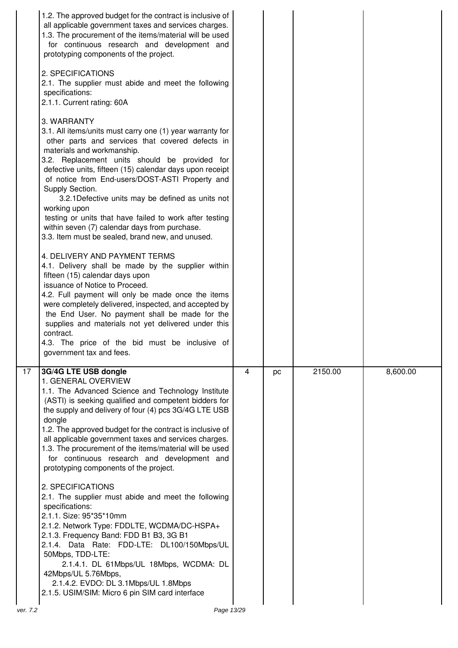|                 | 1.2. The approved budget for the contract is inclusive of<br>all applicable government taxes and services charges.<br>1.3. The procurement of the items/material will be used<br>for continuous research and development and<br>prototyping components of the project.<br>2. SPECIFICATIONS<br>2.1. The supplier must abide and meet the following<br>specifications:<br>2.1.1. Current rating: 60A<br>3. WARRANTY<br>3.1. All items/units must carry one (1) year warranty for<br>other parts and services that covered defects in<br>materials and workmanship.<br>3.2. Replacement units should be provided for<br>defective units, fifteen (15) calendar days upon receipt<br>of notice from End-users/DOST-ASTI Property and<br>Supply Section.<br>3.2.1 Defective units may be defined as units not<br>working upon<br>testing or units that have failed to work after testing<br>within seven (7) calendar days from purchase.<br>3.3. Item must be sealed, brand new, and unused.<br>4. DELIVERY AND PAYMENT TERMS<br>4.1. Delivery shall be made by the supplier within<br>fifteen (15) calendar days upon<br>issuance of Notice to Proceed.<br>4.2. Full payment will only be made once the items<br>were completely delivered, inspected, and accepted by<br>the End User. No payment shall be made for the<br>supplies and materials not yet delivered under this<br>contract.<br>4.3. The price of the bid must be inclusive of<br>government tax and fees. |                |    |         |          |
|-----------------|--------------------------------------------------------------------------------------------------------------------------------------------------------------------------------------------------------------------------------------------------------------------------------------------------------------------------------------------------------------------------------------------------------------------------------------------------------------------------------------------------------------------------------------------------------------------------------------------------------------------------------------------------------------------------------------------------------------------------------------------------------------------------------------------------------------------------------------------------------------------------------------------------------------------------------------------------------------------------------------------------------------------------------------------------------------------------------------------------------------------------------------------------------------------------------------------------------------------------------------------------------------------------------------------------------------------------------------------------------------------------------------------------------------------------------------------------------------------------|----------------|----|---------|----------|
| $\overline{17}$ | 3G/4G LTE USB dongle<br>1. GENERAL OVERVIEW<br>1.1. The Advanced Science and Technology Institute<br>(ASTI) is seeking qualified and competent bidders for<br>the supply and delivery of four (4) pcs 3G/4G LTE USB<br>dongle<br>1.2. The approved budget for the contract is inclusive of<br>all applicable government taxes and services charges.<br>1.3. The procurement of the items/material will be used<br>for continuous research and development and<br>prototyping components of the project.<br>2. SPECIFICATIONS<br>2.1. The supplier must abide and meet the following<br>specifications:<br>2.1.1. Size: 95*35*10mm<br>2.1.2. Network Type: FDDLTE, WCDMA/DC-HSPA+<br>2.1.3. Frequency Band: FDD B1 B3, 3G B1<br>2.1.4. Data Rate: FDD-LTE: DL100/150Mbps/UL<br>50Mbps, TDD-LTE:<br>2.1.4.1. DL 61Mbps/UL 18Mbps, WCDMA: DL<br>42Mbps/UL 5.76Mbps,<br>2.1.4.2. EVDO: DL 3.1Mbps/UL 1.8Mbps<br>2.1.5. USIM/SIM: Micro 6 pin SIM card interface                                                                                                                                                                                                                                                                                                                                                                                                                                                                                                              | $\overline{4}$ | pc | 2150.00 | 8,600.00 |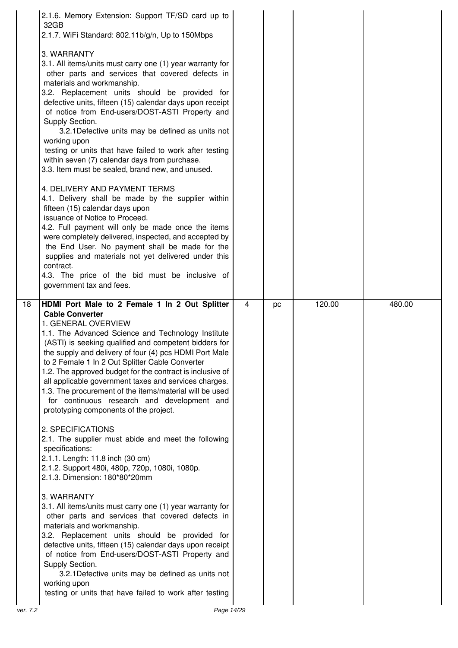|    | 2.1.6. Memory Extension: Support TF/SD card up to<br>32GB<br>2.1.7. WiFi Standard: 802.11b/g/n, Up to 150Mbps<br>3. WARRANTY<br>3.1. All items/units must carry one (1) year warranty for<br>other parts and services that covered defects in<br>materials and workmanship.<br>3.2. Replacement units should be provided for<br>defective units, fifteen (15) calendar days upon receipt<br>of notice from End-users/DOST-ASTI Property and<br>Supply Section.<br>3.2.1 Defective units may be defined as units not<br>working upon<br>testing or units that have failed to work after testing<br>within seven (7) calendar days from purchase.<br>3.3. Item must be sealed, brand new, and unused.<br>4. DELIVERY AND PAYMENT TERMS<br>4.1. Delivery shall be made by the supplier within<br>fifteen (15) calendar days upon<br>issuance of Notice to Proceed.<br>4.2. Full payment will only be made once the items<br>were completely delivered, inspected, and accepted by<br>the End User. No payment shall be made for the<br>supplies and materials not yet delivered under this<br>contract.<br>4.3. The price of the bid must be inclusive of<br>government tax and fees. |                |    |        |        |
|----|------------------------------------------------------------------------------------------------------------------------------------------------------------------------------------------------------------------------------------------------------------------------------------------------------------------------------------------------------------------------------------------------------------------------------------------------------------------------------------------------------------------------------------------------------------------------------------------------------------------------------------------------------------------------------------------------------------------------------------------------------------------------------------------------------------------------------------------------------------------------------------------------------------------------------------------------------------------------------------------------------------------------------------------------------------------------------------------------------------------------------------------------------------------------------------|----------------|----|--------|--------|
| 18 | HDMI Port Male to 2 Female 1 In 2 Out Splitter<br><b>Cable Converter</b><br>1. GENERAL OVERVIEW<br>1.1. The Advanced Science and Technology Institute<br>(ASTI) is seeking qualified and competent bidders for<br>the supply and delivery of four (4) pcs HDMI Port Male<br>to 2 Female 1 In 2 Out Splitter Cable Converter<br>1.2. The approved budget for the contract is inclusive of                                                                                                                                                                                                                                                                                                                                                                                                                                                                                                                                                                                                                                                                                                                                                                                           | $\overline{4}$ | pc | 120.00 | 480.00 |
|    | all applicable government taxes and services charges.<br>1.3. The procurement of the items/material will be used<br>for continuous research and development and<br>prototyping components of the project.<br>2. SPECIFICATIONS<br>2.1. The supplier must abide and meet the following<br>specifications:<br>2.1.1. Length: 11.8 inch (30 cm)<br>2.1.2. Support 480i, 480p, 720p, 1080i, 1080p.<br>2.1.3. Dimension: 180*80*20mm<br>3. WARRANTY<br>3.1. All items/units must carry one (1) year warranty for                                                                                                                                                                                                                                                                                                                                                                                                                                                                                                                                                                                                                                                                        |                |    |        |        |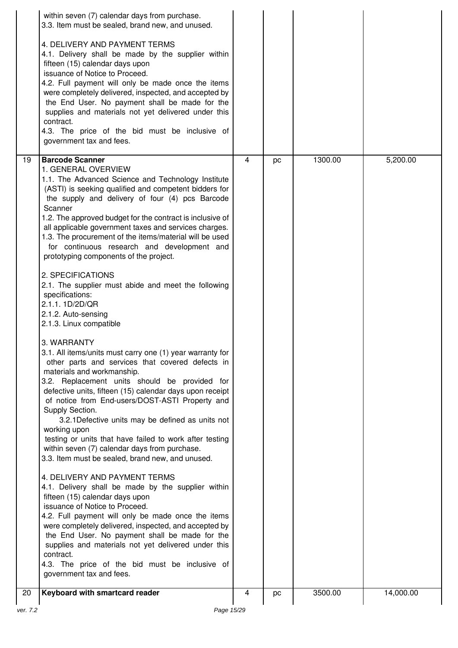|          | within seven (7) calendar days from purchase.<br>3.3. Item must be sealed, brand new, and unused.                                                                                                                                                                                                                                                                                                                                                                                                                                                                                                                                                                                                                                                                                                                                                                                                                                                                                                                                                                                                                                                                                                                                                                                                                                                                                                                                                                                                                                                                                                                                                                                           |                |    |         |           |
|----------|---------------------------------------------------------------------------------------------------------------------------------------------------------------------------------------------------------------------------------------------------------------------------------------------------------------------------------------------------------------------------------------------------------------------------------------------------------------------------------------------------------------------------------------------------------------------------------------------------------------------------------------------------------------------------------------------------------------------------------------------------------------------------------------------------------------------------------------------------------------------------------------------------------------------------------------------------------------------------------------------------------------------------------------------------------------------------------------------------------------------------------------------------------------------------------------------------------------------------------------------------------------------------------------------------------------------------------------------------------------------------------------------------------------------------------------------------------------------------------------------------------------------------------------------------------------------------------------------------------------------------------------------------------------------------------------------|----------------|----|---------|-----------|
|          | 4. DELIVERY AND PAYMENT TERMS<br>4.1. Delivery shall be made by the supplier within<br>fifteen (15) calendar days upon<br>issuance of Notice to Proceed.<br>4.2. Full payment will only be made once the items<br>were completely delivered, inspected, and accepted by<br>the End User. No payment shall be made for the<br>supplies and materials not yet delivered under this<br>contract.<br>4.3. The price of the bid must be inclusive of<br>government tax and fees.                                                                                                                                                                                                                                                                                                                                                                                                                                                                                                                                                                                                                                                                                                                                                                                                                                                                                                                                                                                                                                                                                                                                                                                                                 |                |    |         |           |
| 19       | <b>Barcode Scanner</b><br>1. GENERAL OVERVIEW                                                                                                                                                                                                                                                                                                                                                                                                                                                                                                                                                                                                                                                                                                                                                                                                                                                                                                                                                                                                                                                                                                                                                                                                                                                                                                                                                                                                                                                                                                                                                                                                                                               | $\overline{4}$ | pc | 1300.00 | 5,200.00  |
|          | 1.1. The Advanced Science and Technology Institute<br>(ASTI) is seeking qualified and competent bidders for<br>the supply and delivery of four (4) pcs Barcode<br>Scanner<br>1.2. The approved budget for the contract is inclusive of<br>all applicable government taxes and services charges.<br>1.3. The procurement of the items/material will be used<br>for continuous research and development and<br>prototyping components of the project.<br>2. SPECIFICATIONS<br>2.1. The supplier must abide and meet the following<br>specifications:<br>2.1.1.1D/2D/QR<br>2.1.2. Auto-sensing<br>2.1.3. Linux compatible<br>3. WARRANTY<br>3.1. All items/units must carry one (1) year warranty for<br>other parts and services that covered defects in<br>materials and workmanship.<br>3.2. Replacement units should be provided for<br>defective units, fifteen (15) calendar days upon receipt<br>of notice from End-users/DOST-ASTI Property and<br>Supply Section.<br>3.2.1 Defective units may be defined as units not<br>working upon<br>testing or units that have failed to work after testing<br>within seven (7) calendar days from purchase.<br>3.3. Item must be sealed, brand new, and unused.<br>4. DELIVERY AND PAYMENT TERMS<br>4.1. Delivery shall be made by the supplier within<br>fifteen (15) calendar days upon<br>issuance of Notice to Proceed.<br>4.2. Full payment will only be made once the items<br>were completely delivered, inspected, and accepted by<br>the End User. No payment shall be made for the<br>supplies and materials not yet delivered under this<br>contract.<br>4.3. The price of the bid must be inclusive of<br>government tax and fees. |                |    |         |           |
| 20       | Keyboard with smartcard reader                                                                                                                                                                                                                                                                                                                                                                                                                                                                                                                                                                                                                                                                                                                                                                                                                                                                                                                                                                                                                                                                                                                                                                                                                                                                                                                                                                                                                                                                                                                                                                                                                                                              | 4              | pc | 3500.00 | 14,000.00 |
| ver. 7.2 | Page 15/29                                                                                                                                                                                                                                                                                                                                                                                                                                                                                                                                                                                                                                                                                                                                                                                                                                                                                                                                                                                                                                                                                                                                                                                                                                                                                                                                                                                                                                                                                                                                                                                                                                                                                  |                |    |         |           |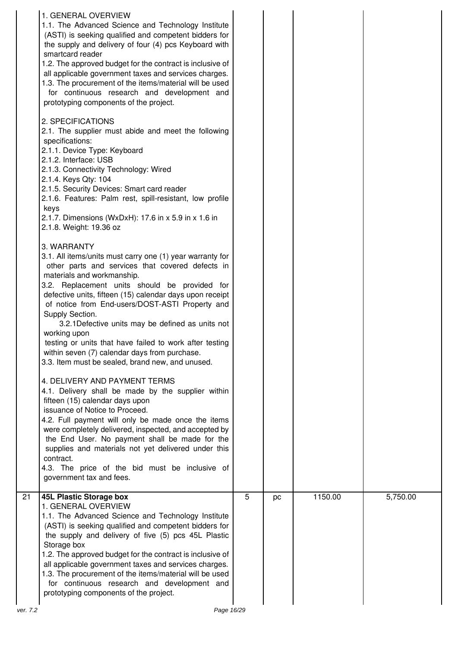|          | 1. GENERAL OVERVIEW<br>1.1. The Advanced Science and Technology Institute<br>(ASTI) is seeking qualified and competent bidders for<br>the supply and delivery of four (4) pcs Keyboard with<br>smartcard reader<br>1.2. The approved budget for the contract is inclusive of<br>all applicable government taxes and services charges.<br>1.3. The procurement of the items/material will be used<br>for continuous research and development and<br>prototyping components of the project.<br>2. SPECIFICATIONS<br>2.1. The supplier must abide and meet the following<br>specifications:<br>2.1.1. Device Type: Keyboard<br>2.1.2. Interface: USB<br>2.1.3. Connectivity Technology: Wired<br>2.1.4. Keys Qty: 104<br>2.1.5. Security Devices: Smart card reader<br>2.1.6. Features: Palm rest, spill-resistant, low profile<br>keys<br>2.1.7. Dimensions (WxDxH): 17.6 in x 5.9 in x 1.6 in<br>2.1.8. Weight: 19.36 oz<br>3. WARRANTY<br>3.1. All items/units must carry one (1) year warranty for<br>other parts and services that covered defects in<br>materials and workmanship.<br>3.2. Replacement units should be provided for<br>defective units, fifteen (15) calendar days upon receipt<br>of notice from End-users/DOST-ASTI Property and<br>Supply Section.<br>3.2.1 Defective units may be defined as units not<br>working upon<br>testing or units that have failed to work after testing<br>within seven (7) calendar days from purchase.<br>3.3. Item must be sealed, brand new, and unused.<br>4. DELIVERY AND PAYMENT TERMS<br>4.1. Delivery shall be made by the supplier within<br>fifteen (15) calendar days upon<br>issuance of Notice to Proceed.<br>4.2. Full payment will only be made once the items<br>were completely delivered, inspected, and accepted by<br>the End User. No payment shall be made for the<br>supplies and materials not yet delivered under this<br>contract. |   |    |         |          |
|----------|----------------------------------------------------------------------------------------------------------------------------------------------------------------------------------------------------------------------------------------------------------------------------------------------------------------------------------------------------------------------------------------------------------------------------------------------------------------------------------------------------------------------------------------------------------------------------------------------------------------------------------------------------------------------------------------------------------------------------------------------------------------------------------------------------------------------------------------------------------------------------------------------------------------------------------------------------------------------------------------------------------------------------------------------------------------------------------------------------------------------------------------------------------------------------------------------------------------------------------------------------------------------------------------------------------------------------------------------------------------------------------------------------------------------------------------------------------------------------------------------------------------------------------------------------------------------------------------------------------------------------------------------------------------------------------------------------------------------------------------------------------------------------------------------------------------------------------------------------------------------------------------------------------------|---|----|---------|----------|
|          | 4.3. The price of the bid must be inclusive of<br>government tax and fees.                                                                                                                                                                                                                                                                                                                                                                                                                                                                                                                                                                                                                                                                                                                                                                                                                                                                                                                                                                                                                                                                                                                                                                                                                                                                                                                                                                                                                                                                                                                                                                                                                                                                                                                                                                                                                                     |   |    |         |          |
| 21       | <b>45L Plastic Storage box</b><br>1. GENERAL OVERVIEW<br>1.1. The Advanced Science and Technology Institute<br>(ASTI) is seeking qualified and competent bidders for<br>the supply and delivery of five (5) pcs 45L Plastic<br>Storage box<br>1.2. The approved budget for the contract is inclusive of<br>all applicable government taxes and services charges.<br>1.3. The procurement of the items/material will be used<br>for continuous research and development and<br>prototyping components of the project.                                                                                                                                                                                                                                                                                                                                                                                                                                                                                                                                                                                                                                                                                                                                                                                                                                                                                                                                                                                                                                                                                                                                                                                                                                                                                                                                                                                           | 5 | pc | 1150.00 | 5,750.00 |
| ver. 7.2 | Page 16/29                                                                                                                                                                                                                                                                                                                                                                                                                                                                                                                                                                                                                                                                                                                                                                                                                                                                                                                                                                                                                                                                                                                                                                                                                                                                                                                                                                                                                                                                                                                                                                                                                                                                                                                                                                                                                                                                                                     |   |    |         |          |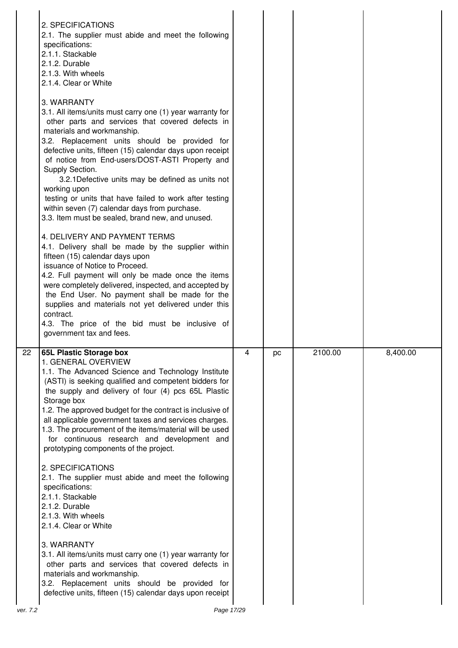|    | 2. SPECIFICATIONS<br>2.1. The supplier must abide and meet the following<br>specifications:<br>2.1.1. Stackable<br>2.1.2. Durable<br>2.1.3. With wheels<br>2.1.4. Clear or White<br>3. WARRANTY<br>3.1. All items/units must carry one (1) year warranty for<br>other parts and services that covered defects in<br>materials and workmanship.<br>3.2. Replacement units should be provided for<br>defective units, fifteen (15) calendar days upon receipt<br>of notice from End-users/DOST-ASTI Property and<br>Supply Section.<br>3.2.1Defective units may be defined as units not<br>working upon<br>testing or units that have failed to work after testing<br>within seven (7) calendar days from purchase.<br>3.3. Item must be sealed, brand new, and unused.<br>4. DELIVERY AND PAYMENT TERMS<br>4.1. Delivery shall be made by the supplier within<br>fifteen (15) calendar days upon<br>issuance of Notice to Proceed.<br>4.2. Full payment will only be made once the items<br>were completely delivered, inspected, and accepted by<br>the End User. No payment shall be made for the<br>supplies and materials not yet delivered under this<br>contract.<br>4.3. The price of the bid must be inclusive of<br>government tax and fees. |   |    |         |          |
|----|------------------------------------------------------------------------------------------------------------------------------------------------------------------------------------------------------------------------------------------------------------------------------------------------------------------------------------------------------------------------------------------------------------------------------------------------------------------------------------------------------------------------------------------------------------------------------------------------------------------------------------------------------------------------------------------------------------------------------------------------------------------------------------------------------------------------------------------------------------------------------------------------------------------------------------------------------------------------------------------------------------------------------------------------------------------------------------------------------------------------------------------------------------------------------------------------------------------------------------------------------|---|----|---------|----------|
| 22 | <b>65L Plastic Storage box</b><br>1. GENERAL OVERVIEW<br>1.1. The Advanced Science and Technology Institute<br>(ASTI) is seeking qualified and competent bidders for<br>the supply and delivery of four (4) pcs 65L Plastic<br>Storage box<br>1.2. The approved budget for the contract is inclusive of<br>all applicable government taxes and services charges.<br>1.3. The procurement of the items/material will be used<br>for continuous research and development and<br>prototyping components of the project.<br>2. SPECIFICATIONS<br>2.1. The supplier must abide and meet the following<br>specifications:                                                                                                                                                                                                                                                                                                                                                                                                                                                                                                                                                                                                                                  | 4 | рc | 2100.00 | 8,400.00 |
|    | 2.1.1. Stackable<br>2.1.2. Durable<br>2.1.3. With wheels<br>2.1.4. Clear or White<br>3. WARRANTY<br>3.1. All items/units must carry one (1) year warranty for<br>other parts and services that covered defects in<br>materials and workmanship.<br>3.2. Replacement units should be provided for<br>defective units, fifteen (15) calendar days upon receipt                                                                                                                                                                                                                                                                                                                                                                                                                                                                                                                                                                                                                                                                                                                                                                                                                                                                                         |   |    |         |          |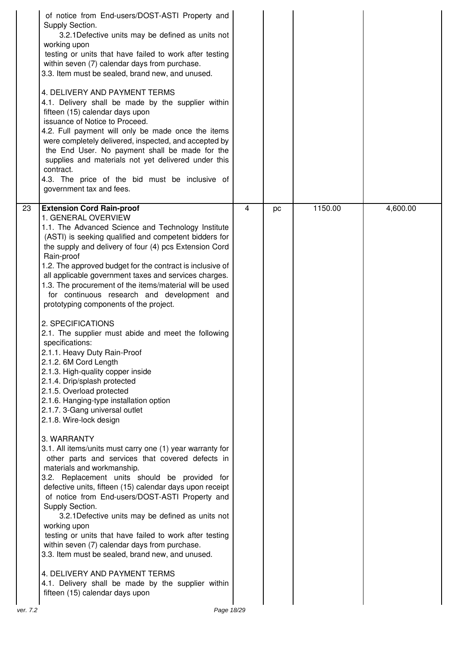|                | of notice from End-users/DOST-ASTI Property and<br>Supply Section.<br>3.2.1 Defective units may be defined as units not<br>working upon<br>testing or units that have failed to work after testing<br>within seven (7) calendar days from purchase.<br>3.3. Item must be sealed, brand new, and unused.<br>4. DELIVERY AND PAYMENT TERMS<br>4.1. Delivery shall be made by the supplier within<br>fifteen (15) calendar days upon<br>issuance of Notice to Proceed.<br>4.2. Full payment will only be made once the items<br>were completely delivered, inspected, and accepted by<br>the End User. No payment shall be made for the<br>supplies and materials not yet delivered under this<br>contract.<br>4.3. The price of the bid must be inclusive of<br>government tax and fees.                                                                                                                                                                                                                                                                                                                                                                                                                                                                                                                                                                                                                                                                                                                                                                                                                     |   |    |         |          |
|----------------|------------------------------------------------------------------------------------------------------------------------------------------------------------------------------------------------------------------------------------------------------------------------------------------------------------------------------------------------------------------------------------------------------------------------------------------------------------------------------------------------------------------------------------------------------------------------------------------------------------------------------------------------------------------------------------------------------------------------------------------------------------------------------------------------------------------------------------------------------------------------------------------------------------------------------------------------------------------------------------------------------------------------------------------------------------------------------------------------------------------------------------------------------------------------------------------------------------------------------------------------------------------------------------------------------------------------------------------------------------------------------------------------------------------------------------------------------------------------------------------------------------------------------------------------------------------------------------------------------------|---|----|---------|----------|
| 23<br>ver. 7.2 | <b>Extension Cord Rain-proof</b><br>1. GENERAL OVERVIEW<br>1.1. The Advanced Science and Technology Institute<br>(ASTI) is seeking qualified and competent bidders for<br>the supply and delivery of four (4) pcs Extension Cord<br>Rain-proof<br>1.2. The approved budget for the contract is inclusive of<br>all applicable government taxes and services charges.<br>1.3. The procurement of the items/material will be used<br>for continuous research and development and<br>prototyping components of the project.<br>2. SPECIFICATIONS<br>2.1. The supplier must abide and meet the following<br>specifications:<br>2.1.1. Heavy Duty Rain-Proof<br>2.1.2. 6M Cord Length<br>2.1.3. High-quality copper inside<br>2.1.4. Drip/splash protected<br>2.1.5. Overload protected<br>2.1.6. Hanging-type installation option<br>2.1.7. 3-Gang universal outlet<br>2.1.8. Wire-lock design<br>3. WARRANTY<br>3.1. All items/units must carry one (1) year warranty for<br>other parts and services that covered defects in<br>materials and workmanship.<br>3.2. Replacement units should be provided for<br>defective units, fifteen (15) calendar days upon receipt<br>of notice from End-users/DOST-ASTI Property and<br>Supply Section.<br>3.2.1 Defective units may be defined as units not<br>working upon<br>testing or units that have failed to work after testing<br>within seven (7) calendar days from purchase.<br>3.3. Item must be sealed, brand new, and unused.<br>4. DELIVERY AND PAYMENT TERMS<br>4.1. Delivery shall be made by the supplier within<br>fifteen (15) calendar days upon | 4 | pc | 1150.00 | 4,600.00 |
|                | Page 18/29                                                                                                                                                                                                                                                                                                                                                                                                                                                                                                                                                                                                                                                                                                                                                                                                                                                                                                                                                                                                                                                                                                                                                                                                                                                                                                                                                                                                                                                                                                                                                                                                 |   |    |         |          |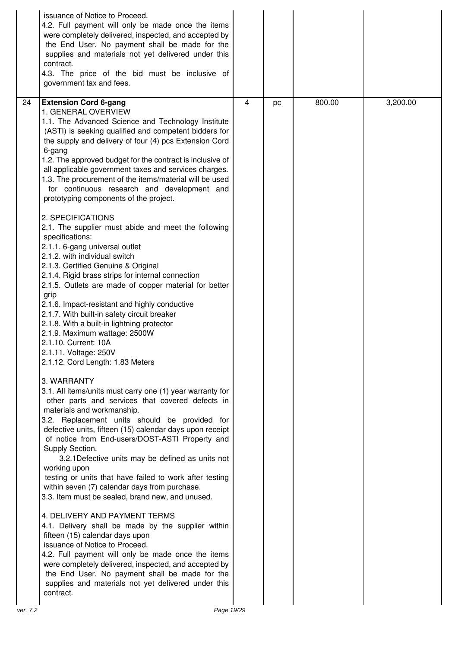|          | issuance of Notice to Proceed.<br>4.2. Full payment will only be made once the items<br>were completely delivered, inspected, and accepted by<br>the End User. No payment shall be made for the<br>supplies and materials not yet delivered under this<br>contract.<br>4.3. The price of the bid must be inclusive of<br>government tax and fees.                                                                                                                                                                                                                                                                                                                                                                                                                                                                                                                                                                                                                                                                                                                                                                                                                                                                                                                                                                                                                                                                                                                                                                                                                                                                                                                                                                                                                                                                                                                                                                                                                                                                                                                                             |   |    |        |          |
|----------|-----------------------------------------------------------------------------------------------------------------------------------------------------------------------------------------------------------------------------------------------------------------------------------------------------------------------------------------------------------------------------------------------------------------------------------------------------------------------------------------------------------------------------------------------------------------------------------------------------------------------------------------------------------------------------------------------------------------------------------------------------------------------------------------------------------------------------------------------------------------------------------------------------------------------------------------------------------------------------------------------------------------------------------------------------------------------------------------------------------------------------------------------------------------------------------------------------------------------------------------------------------------------------------------------------------------------------------------------------------------------------------------------------------------------------------------------------------------------------------------------------------------------------------------------------------------------------------------------------------------------------------------------------------------------------------------------------------------------------------------------------------------------------------------------------------------------------------------------------------------------------------------------------------------------------------------------------------------------------------------------------------------------------------------------------------------------------------------------|---|----|--------|----------|
| 24       | <b>Extension Cord 6-gang</b><br>1. GENERAL OVERVIEW<br>1.1. The Advanced Science and Technology Institute<br>(ASTI) is seeking qualified and competent bidders for<br>the supply and delivery of four (4) pcs Extension Cord<br>6-gang<br>1.2. The approved budget for the contract is inclusive of<br>all applicable government taxes and services charges.<br>1.3. The procurement of the items/material will be used<br>for continuous research and development and<br>prototyping components of the project.<br>2. SPECIFICATIONS<br>2.1. The supplier must abide and meet the following<br>specifications:<br>2.1.1. 6-gang universal outlet<br>2.1.2. with individual switch<br>2.1.3. Certified Genuine & Original<br>2.1.4. Rigid brass strips for internal connection<br>2.1.5. Outlets are made of copper material for better<br>grip<br>2.1.6. Impact-resistant and highly conductive<br>2.1.7. With built-in safety circuit breaker<br>2.1.8. With a built-in lightning protector<br>2.1.9. Maximum wattage: 2500W<br>2.1.10. Current: 10A<br>2.1.11. Voltage: 250V<br>2.1.12. Cord Length: 1.83 Meters<br>3. WARRANTY<br>3.1. All items/units must carry one (1) year warranty for<br>other parts and services that covered defects in<br>materials and workmanship.<br>3.2. Replacement units should be provided for<br>defective units, fifteen (15) calendar days upon receipt<br>of notice from End-users/DOST-ASTI Property and<br>Supply Section.<br>3.2.1 Defective units may be defined as units not<br>working upon<br>testing or units that have failed to work after testing<br>within seven (7) calendar days from purchase.<br>3.3. Item must be sealed, brand new, and unused.<br>4. DELIVERY AND PAYMENT TERMS<br>4.1. Delivery shall be made by the supplier within<br>fifteen (15) calendar days upon<br>issuance of Notice to Proceed.<br>4.2. Full payment will only be made once the items<br>were completely delivered, inspected, and accepted by<br>the End User. No payment shall be made for the<br>supplies and materials not yet delivered under this | 4 | pc | 800.00 | 3,200.00 |
| ver. 7.2 | contract.<br>Page 19/29                                                                                                                                                                                                                                                                                                                                                                                                                                                                                                                                                                                                                                                                                                                                                                                                                                                                                                                                                                                                                                                                                                                                                                                                                                                                                                                                                                                                                                                                                                                                                                                                                                                                                                                                                                                                                                                                                                                                                                                                                                                                       |   |    |        |          |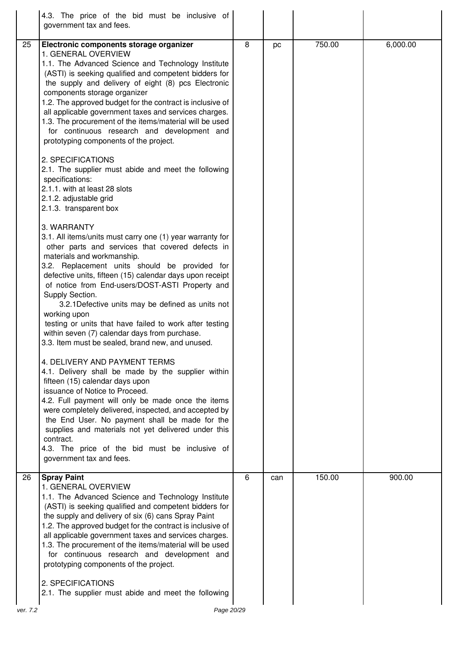|    | 4.3. The price of the bid must be inclusive of<br>government tax and fees.                                                                                                                                                                                                                                                                                                                                                                                                                                                                                                                                                                                                                                                                                                                                                                                                                                                                                                                                                                                                                                                                                                                                                                                                                                                                                                                                                                                                                                                                                                                                                                                                                                                |   |     |        |          |
|----|---------------------------------------------------------------------------------------------------------------------------------------------------------------------------------------------------------------------------------------------------------------------------------------------------------------------------------------------------------------------------------------------------------------------------------------------------------------------------------------------------------------------------------------------------------------------------------------------------------------------------------------------------------------------------------------------------------------------------------------------------------------------------------------------------------------------------------------------------------------------------------------------------------------------------------------------------------------------------------------------------------------------------------------------------------------------------------------------------------------------------------------------------------------------------------------------------------------------------------------------------------------------------------------------------------------------------------------------------------------------------------------------------------------------------------------------------------------------------------------------------------------------------------------------------------------------------------------------------------------------------------------------------------------------------------------------------------------------------|---|-----|--------|----------|
| 25 | Electronic components storage organizer<br>1. GENERAL OVERVIEW<br>1.1. The Advanced Science and Technology Institute<br>(ASTI) is seeking qualified and competent bidders for<br>the supply and delivery of eight (8) pcs Electronic<br>components storage organizer<br>1.2. The approved budget for the contract is inclusive of<br>all applicable government taxes and services charges.<br>1.3. The procurement of the items/material will be used<br>for continuous research and development and<br>prototyping components of the project.<br>2. SPECIFICATIONS<br>2.1. The supplier must abide and meet the following<br>specifications:<br>2.1.1. with at least 28 slots<br>2.1.2. adjustable grid<br>2.1.3. transparent box<br>3. WARRANTY<br>3.1. All items/units must carry one (1) year warranty for<br>other parts and services that covered defects in<br>materials and workmanship.<br>3.2. Replacement units should be provided for<br>defective units, fifteen (15) calendar days upon receipt<br>of notice from End-users/DOST-ASTI Property and<br>Supply Section.<br>3.2.1 Defective units may be defined as units not<br>working upon<br>testing or units that have failed to work after testing<br>within seven (7) calendar days from purchase.<br>3.3. Item must be sealed, brand new, and unused.<br>4. DELIVERY AND PAYMENT TERMS<br>4.1. Delivery shall be made by the supplier within<br>fifteen (15) calendar days upon<br>issuance of Notice to Proceed.<br>4.2. Full payment will only be made once the items<br>were completely delivered, inspected, and accepted by<br>the End User. No payment shall be made for the<br>supplies and materials not yet delivered under this<br>contract. | 8 | pc  | 750.00 | 6,000.00 |
|    | 4.3. The price of the bid must be inclusive of<br>government tax and fees.                                                                                                                                                                                                                                                                                                                                                                                                                                                                                                                                                                                                                                                                                                                                                                                                                                                                                                                                                                                                                                                                                                                                                                                                                                                                                                                                                                                                                                                                                                                                                                                                                                                |   |     |        |          |
| 26 | <b>Spray Paint</b><br>1. GENERAL OVERVIEW<br>1.1. The Advanced Science and Technology Institute<br>(ASTI) is seeking qualified and competent bidders for<br>the supply and delivery of six (6) cans Spray Paint<br>1.2. The approved budget for the contract is inclusive of<br>all applicable government taxes and services charges.<br>1.3. The procurement of the items/material will be used<br>for continuous research and development and<br>prototyping components of the project.<br>2. SPECIFICATIONS<br>2.1. The supplier must abide and meet the following                                                                                                                                                                                                                                                                                                                                                                                                                                                                                                                                                                                                                                                                                                                                                                                                                                                                                                                                                                                                                                                                                                                                                     | 6 | can | 150.00 | 900.00   |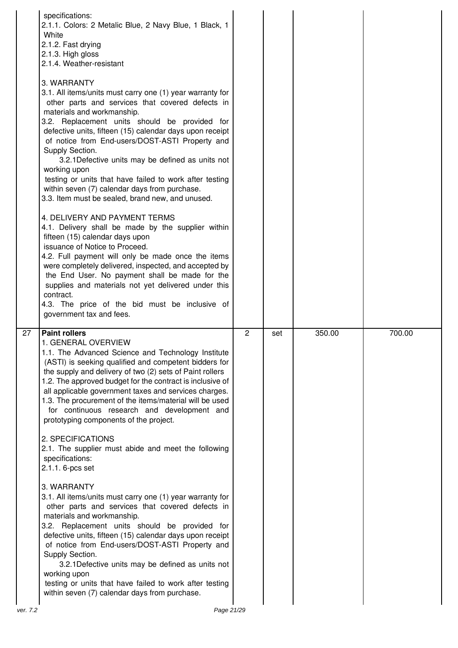|    | specifications:<br>2.1.1. Colors: 2 Metalic Blue, 2 Navy Blue, 1 Black, 1<br>White<br>2.1.2. Fast drying<br>2.1.3. High gloss<br>2.1.4. Weather-resistant<br>3. WARRANTY<br>3.1. All items/units must carry one (1) year warranty for<br>other parts and services that covered defects in<br>materials and workmanship.<br>3.2. Replacement units should be provided for<br>defective units, fifteen (15) calendar days upon receipt<br>of notice from End-users/DOST-ASTI Property and<br>Supply Section.<br>3.2.1 Defective units may be defined as units not<br>working upon<br>testing or units that have failed to work after testing<br>within seven (7) calendar days from purchase.<br>3.3. Item must be sealed, brand new, and unused.<br>4. DELIVERY AND PAYMENT TERMS<br>4.1. Delivery shall be made by the supplier within<br>fifteen (15) calendar days upon<br>issuance of Notice to Proceed.<br>4.2. Full payment will only be made once the items<br>were completely delivered, inspected, and accepted by<br>the End User. No payment shall be made for the<br>supplies and materials not yet delivered under this<br>contract.<br>4.3. The price of the bid must be inclusive of<br>government tax and fees. |                |     |        |        |
|----|--------------------------------------------------------------------------------------------------------------------------------------------------------------------------------------------------------------------------------------------------------------------------------------------------------------------------------------------------------------------------------------------------------------------------------------------------------------------------------------------------------------------------------------------------------------------------------------------------------------------------------------------------------------------------------------------------------------------------------------------------------------------------------------------------------------------------------------------------------------------------------------------------------------------------------------------------------------------------------------------------------------------------------------------------------------------------------------------------------------------------------------------------------------------------------------------------------------------------------|----------------|-----|--------|--------|
| 27 | <b>Paint rollers</b><br>1. GENERAL OVERVIEW<br>1.1. The Advanced Science and Technology Institute<br>(ASTI) is seeking qualified and competent bidders for<br>the supply and delivery of two (2) sets of Paint rollers<br>1.2. The approved budget for the contract is inclusive of<br>all applicable government taxes and services charges.<br>1.3. The procurement of the items/material will be used<br>for continuous research and development and<br>prototyping components of the project.<br>2. SPECIFICATIONS                                                                                                                                                                                                                                                                                                                                                                                                                                                                                                                                                                                                                                                                                                          | $\overline{2}$ | set | 350.00 | 700.00 |
|    | 2.1. The supplier must abide and meet the following<br>specifications:<br>2.1.1. 6-pcs set                                                                                                                                                                                                                                                                                                                                                                                                                                                                                                                                                                                                                                                                                                                                                                                                                                                                                                                                                                                                                                                                                                                                     |                |     |        |        |
|    | 3. WARRANTY<br>3.1. All items/units must carry one (1) year warranty for<br>other parts and services that covered defects in<br>materials and workmanship.                                                                                                                                                                                                                                                                                                                                                                                                                                                                                                                                                                                                                                                                                                                                                                                                                                                                                                                                                                                                                                                                     |                |     |        |        |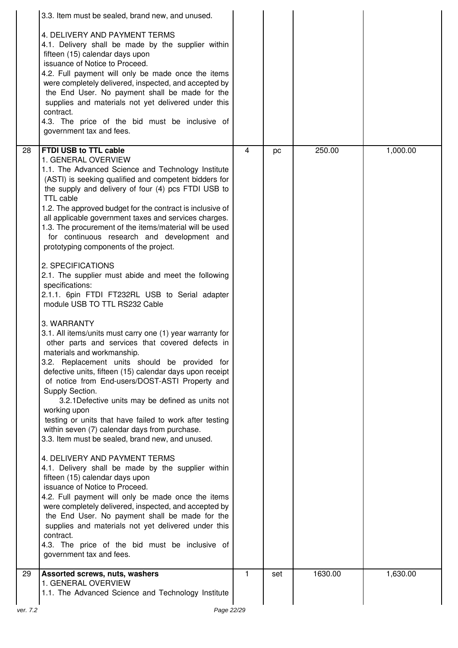|    | 3.3. Item must be sealed, brand new, and unused.                                                                                                                                                                                                                                                                                                                                                                                                                                                                                                                                   |   |     |         |          |
|----|------------------------------------------------------------------------------------------------------------------------------------------------------------------------------------------------------------------------------------------------------------------------------------------------------------------------------------------------------------------------------------------------------------------------------------------------------------------------------------------------------------------------------------------------------------------------------------|---|-----|---------|----------|
|    | 4. DELIVERY AND PAYMENT TERMS<br>4.1. Delivery shall be made by the supplier within<br>fifteen (15) calendar days upon<br>issuance of Notice to Proceed.<br>4.2. Full payment will only be made once the items<br>were completely delivered, inspected, and accepted by<br>the End User. No payment shall be made for the<br>supplies and materials not yet delivered under this<br>contract.<br>4.3. The price of the bid must be inclusive of<br>government tax and fees.                                                                                                        |   |     |         |          |
| 28 | FTDI USB to TTL cable<br>1. GENERAL OVERVIEW                                                                                                                                                                                                                                                                                                                                                                                                                                                                                                                                       | 4 | pc  | 250.00  | 1,000.00 |
|    | 1.1. The Advanced Science and Technology Institute<br>(ASTI) is seeking qualified and competent bidders for<br>the supply and delivery of four (4) pcs FTDI USB to<br><b>TTL cable</b><br>1.2. The approved budget for the contract is inclusive of<br>all applicable government taxes and services charges.<br>1.3. The procurement of the items/material will be used<br>for continuous research and development and<br>prototyping components of the project.                                                                                                                   |   |     |         |          |
|    | 2. SPECIFICATIONS<br>2.1. The supplier must abide and meet the following<br>specifications:<br>2.1.1. 6pin FTDI FT232RL USB to Serial adapter<br>module USB TO TTL RS232 Cable                                                                                                                                                                                                                                                                                                                                                                                                     |   |     |         |          |
|    | 3. WARRANTY<br>3.1. All items/units must carry one (1) year warranty for<br>other parts and services that covered defects in<br>materials and workmanship.<br>3.2. Replacement units should be provided for<br>defective units, fifteen (15) calendar days upon receipt<br>of notice from End-users/DOST-ASTI Property and<br>Supply Section.<br>3.2.1 Defective units may be defined as units not<br>working upon<br>testing or units that have failed to work after testing<br>within seven (7) calendar days from purchase.<br>3.3. Item must be sealed, brand new, and unused. |   |     |         |          |
|    | 4. DELIVERY AND PAYMENT TERMS<br>4.1. Delivery shall be made by the supplier within<br>fifteen (15) calendar days upon<br>issuance of Notice to Proceed.<br>4.2. Full payment will only be made once the items<br>were completely delivered, inspected, and accepted by<br>the End User. No payment shall be made for the<br>supplies and materials not yet delivered under this<br>contract.<br>4.3. The price of the bid must be inclusive of<br>government tax and fees.                                                                                                        |   |     |         |          |
| 29 | Assorted screws, nuts, washers                                                                                                                                                                                                                                                                                                                                                                                                                                                                                                                                                     | 1 | set | 1630.00 | 1,630.00 |
|    | 1. GENERAL OVERVIEW<br>1.1. The Advanced Science and Technology Institute                                                                                                                                                                                                                                                                                                                                                                                                                                                                                                          |   |     |         |          |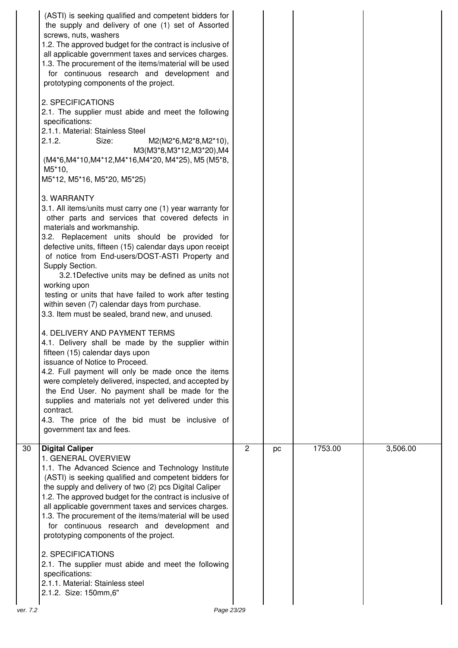|          | (ASTI) is seeking qualified and competent bidders for<br>the supply and delivery of one (1) set of Assorted<br>screws, nuts, washers<br>1.2. The approved budget for the contract is inclusive of<br>all applicable government taxes and services charges.<br>1.3. The procurement of the items/material will be used<br>for continuous research and development and<br>prototyping components of the project.<br>2. SPECIFICATIONS<br>2.1. The supplier must abide and meet the following<br>specifications:<br>2.1.1. Material: Stainless Steel<br>2.1.2.<br>Size:<br>M2(M2*6,M2*8,M2*10),<br>M3(M3*8, M3*12, M3*20), M4<br>(M4*6, M4*10, M4*12, M4*16, M4*20, M4*25), M5 (M5*8,<br>M5*10,<br>M5*12, M5*16, M5*20, M5*25)<br>3. WARRANTY<br>3.1. All items/units must carry one (1) year warranty for<br>other parts and services that covered defects in<br>materials and workmanship.<br>3.2. Replacement units should be provided for<br>defective units, fifteen (15) calendar days upon receipt<br>of notice from End-users/DOST-ASTI Property and<br>Supply Section.<br>3.2.1 Defective units may be defined as units not<br>working upon<br>testing or units that have failed to work after testing<br>within seven (7) calendar days from purchase.<br>3.3. Item must be sealed, brand new, and unused.<br>4. DELIVERY AND PAYMENT TERMS<br>4.1. Delivery shall be made by the supplier within<br>fifteen (15) calendar days upon<br>issuance of Notice to Proceed.<br>4.2. Full payment will only be made once the items<br>were completely delivered, inspected, and accepted by<br>the End User. No payment shall be made for the<br>supplies and materials not yet delivered under this<br>contract.<br>4.3. The price of the bid must be inclusive of<br>government tax and fees. |                |    |         |          |
|----------|--------------------------------------------------------------------------------------------------------------------------------------------------------------------------------------------------------------------------------------------------------------------------------------------------------------------------------------------------------------------------------------------------------------------------------------------------------------------------------------------------------------------------------------------------------------------------------------------------------------------------------------------------------------------------------------------------------------------------------------------------------------------------------------------------------------------------------------------------------------------------------------------------------------------------------------------------------------------------------------------------------------------------------------------------------------------------------------------------------------------------------------------------------------------------------------------------------------------------------------------------------------------------------------------------------------------------------------------------------------------------------------------------------------------------------------------------------------------------------------------------------------------------------------------------------------------------------------------------------------------------------------------------------------------------------------------------------------------------------------------------------------------------------------------------|----------------|----|---------|----------|
| 30       | <b>Digital Caliper</b><br>1. GENERAL OVERVIEW<br>1.1. The Advanced Science and Technology Institute<br>(ASTI) is seeking qualified and competent bidders for<br>the supply and delivery of two (2) pcs Digital Caliper<br>1.2. The approved budget for the contract is inclusive of<br>all applicable government taxes and services charges.<br>1.3. The procurement of the items/material will be used<br>for continuous research and development and<br>prototyping components of the project.<br>2. SPECIFICATIONS<br>2.1. The supplier must abide and meet the following<br>specifications:<br>2.1.1. Material: Stainless steel<br>2.1.2. Size: 150mm,6"                                                                                                                                                                                                                                                                                                                                                                                                                                                                                                                                                                                                                                                                                                                                                                                                                                                                                                                                                                                                                                                                                                                                     | $\overline{2}$ | pc | 1753.00 | 3,506.00 |
| ver. 7.2 | Page 23/29                                                                                                                                                                                                                                                                                                                                                                                                                                                                                                                                                                                                                                                                                                                                                                                                                                                                                                                                                                                                                                                                                                                                                                                                                                                                                                                                                                                                                                                                                                                                                                                                                                                                                                                                                                                       |                |    |         |          |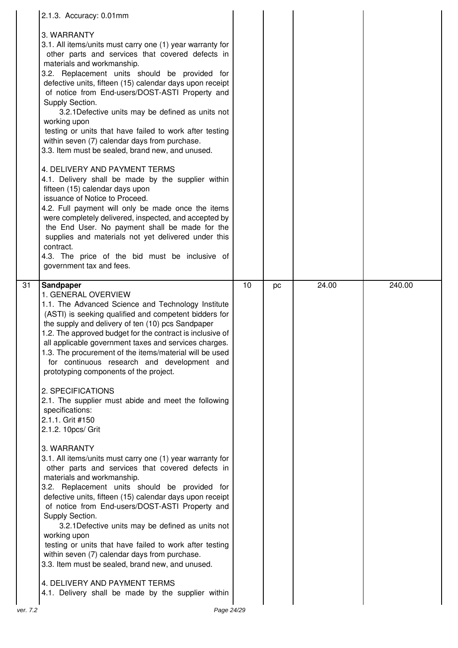|    | 2.1.3. Accuracy: 0.01mm                                                                                                                                                                                                                                                                                                                                                                                                                                                                                                                                                                                                                                                                                                                                                                                                                                                                                                                                                                                                                                           |    |    |       |        |
|----|-------------------------------------------------------------------------------------------------------------------------------------------------------------------------------------------------------------------------------------------------------------------------------------------------------------------------------------------------------------------------------------------------------------------------------------------------------------------------------------------------------------------------------------------------------------------------------------------------------------------------------------------------------------------------------------------------------------------------------------------------------------------------------------------------------------------------------------------------------------------------------------------------------------------------------------------------------------------------------------------------------------------------------------------------------------------|----|----|-------|--------|
|    | 3. WARRANTY<br>3.1. All items/units must carry one (1) year warranty for<br>other parts and services that covered defects in<br>materials and workmanship.<br>3.2. Replacement units should be provided for<br>defective units, fifteen (15) calendar days upon receipt<br>of notice from End-users/DOST-ASTI Property and<br>Supply Section.<br>3.2.1 Defective units may be defined as units not<br>working upon<br>testing or units that have failed to work after testing<br>within seven (7) calendar days from purchase.<br>3.3. Item must be sealed, brand new, and unused.<br>4. DELIVERY AND PAYMENT TERMS<br>4.1. Delivery shall be made by the supplier within<br>fifteen (15) calendar days upon<br>issuance of Notice to Proceed.<br>4.2. Full payment will only be made once the items<br>were completely delivered, inspected, and accepted by<br>the End User. No payment shall be made for the<br>supplies and materials not yet delivered under this<br>contract.<br>4.3. The price of the bid must be inclusive of<br>government tax and fees. |    |    |       |        |
| 31 | <b>Sandpaper</b><br>1. GENERAL OVERVIEW<br>1.1. The Advanced Science and Technology Institute                                                                                                                                                                                                                                                                                                                                                                                                                                                                                                                                                                                                                                                                                                                                                                                                                                                                                                                                                                     | 10 | pc | 24.00 | 240.00 |
|    | (ASTI) is seeking qualified and competent bidders for<br>the supply and delivery of ten (10) pcs Sandpaper<br>1.2. The approved budget for the contract is inclusive of<br>all applicable government taxes and services charges.<br>1.3. The procurement of the items/material will be used<br>for continuous research and development and<br>prototyping components of the project.                                                                                                                                                                                                                                                                                                                                                                                                                                                                                                                                                                                                                                                                              |    |    |       |        |
|    | 2. SPECIFICATIONS<br>2.1. The supplier must abide and meet the following<br>specifications:<br>2.1.1. Grit #150<br>2.1.2. 10pcs/ Grit                                                                                                                                                                                                                                                                                                                                                                                                                                                                                                                                                                                                                                                                                                                                                                                                                                                                                                                             |    |    |       |        |
|    | 3. WARRANTY<br>3.1. All items/units must carry one (1) year warranty for<br>other parts and services that covered defects in<br>materials and workmanship.<br>3.2. Replacement units should be provided for<br>defective units, fifteen (15) calendar days upon receipt<br>of notice from End-users/DOST-ASTI Property and<br>Supply Section.<br>3.2.1 Defective units may be defined as units not<br>working upon<br>testing or units that have failed to work after testing<br>within seven (7) calendar days from purchase.<br>3.3. Item must be sealed, brand new, and unused.<br>4. DELIVERY AND PAYMENT TERMS                                                                                                                                                                                                                                                                                                                                                                                                                                               |    |    |       |        |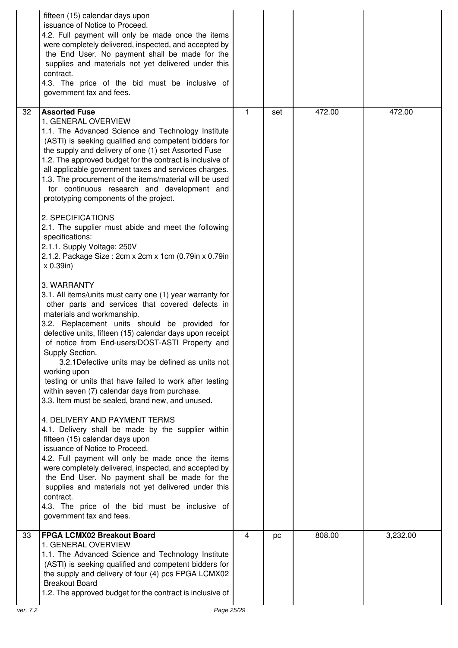|          | fifteen (15) calendar days upon<br>issuance of Notice to Proceed.<br>4.2. Full payment will only be made once the items<br>were completely delivered, inspected, and accepted by<br>the End User. No payment shall be made for the<br>supplies and materials not yet delivered under this<br>contract.<br>4.3. The price of the bid must be inclusive of<br>government tax and fees.                                                                                                                                                                                                                                                                                                                                                                                                                                                                                                                                                                                                                                                                                                                                                                                                                                                                                                                                                                                                                                                                                                                                                                                                                                                                                                                                                        |    |     |        |                     |
|----------|---------------------------------------------------------------------------------------------------------------------------------------------------------------------------------------------------------------------------------------------------------------------------------------------------------------------------------------------------------------------------------------------------------------------------------------------------------------------------------------------------------------------------------------------------------------------------------------------------------------------------------------------------------------------------------------------------------------------------------------------------------------------------------------------------------------------------------------------------------------------------------------------------------------------------------------------------------------------------------------------------------------------------------------------------------------------------------------------------------------------------------------------------------------------------------------------------------------------------------------------------------------------------------------------------------------------------------------------------------------------------------------------------------------------------------------------------------------------------------------------------------------------------------------------------------------------------------------------------------------------------------------------------------------------------------------------------------------------------------------------|----|-----|--------|---------------------|
| 32       | <b>Assorted Fuse</b><br>1. GENERAL OVERVIEW<br>1.1. The Advanced Science and Technology Institute<br>(ASTI) is seeking qualified and competent bidders for<br>the supply and delivery of one (1) set Assorted Fuse<br>1.2. The approved budget for the contract is inclusive of<br>all applicable government taxes and services charges.<br>1.3. The procurement of the items/material will be used<br>for continuous research and development and<br>prototyping components of the project.<br>2. SPECIFICATIONS<br>2.1. The supplier must abide and meet the following<br>specifications:<br>2.1.1. Supply Voltage: 250V<br>2.1.2. Package Size: 2cm x 2cm x 1cm (0.79in x 0.79in<br>$x$ 0.39in)<br>3. WARRANTY<br>3.1. All items/units must carry one (1) year warranty for<br>other parts and services that covered defects in<br>materials and workmanship.<br>3.2. Replacement units should be provided for<br>defective units, fifteen (15) calendar days upon receipt<br>of notice from End-users/DOST-ASTI Property and<br>Supply Section.<br>3.2.1 Defective units may be defined as units not<br>working upon<br>testing or units that have failed to work after testing<br>within seven (7) calendar days from purchase.<br>3.3. Item must be sealed, brand new, and unused.<br>4. DELIVERY AND PAYMENT TERMS<br>4.1. Delivery shall be made by the supplier within<br>fifteen (15) calendar days upon<br>issuance of Notice to Proceed.<br>4.2. Full payment will only be made once the items<br>were completely delivered, inspected, and accepted by<br>the End User. No payment shall be made for the<br>supplies and materials not yet delivered under this<br>contract.<br>4.3. The price of the bid must be inclusive of | 1. | set | 472.00 | $\overline{472.00}$ |
| 33       | government tax and fees.<br><b>FPGA LCMX02 Breakout Board</b>                                                                                                                                                                                                                                                                                                                                                                                                                                                                                                                                                                                                                                                                                                                                                                                                                                                                                                                                                                                                                                                                                                                                                                                                                                                                                                                                                                                                                                                                                                                                                                                                                                                                               | 4  | pc  | 808.00 | 3,232.00            |
| ver. 7.2 | 1. GENERAL OVERVIEW<br>1.1. The Advanced Science and Technology Institute<br>(ASTI) is seeking qualified and competent bidders for<br>the supply and delivery of four (4) pcs FPGA LCMX02<br><b>Breakout Board</b><br>1.2. The approved budget for the contract is inclusive of<br>Page 25/29                                                                                                                                                                                                                                                                                                                                                                                                                                                                                                                                                                                                                                                                                                                                                                                                                                                                                                                                                                                                                                                                                                                                                                                                                                                                                                                                                                                                                                               |    |     |        |                     |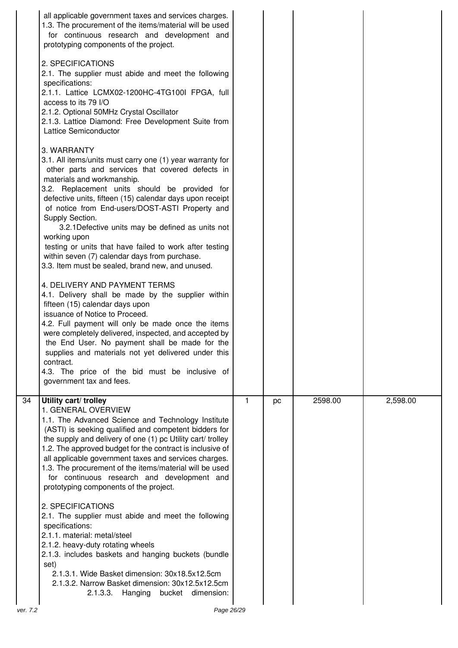|          | all applicable government taxes and services charges.<br>1.3. The procurement of the items/material will be used<br>for continuous research and development and<br>prototyping components of the project.<br>2. SPECIFICATIONS<br>2.1. The supplier must abide and meet the following<br>specifications:<br>2.1.1. Lattice LCMX02-1200HC-4TG100I FPGA, full<br>access to its 79 I/O<br>2.1.2. Optional 50MHz Crystal Oscillator<br>2.1.3. Lattice Diamond: Free Development Suite from<br>Lattice Semiconductor<br>3. WARRANTY<br>3.1. All items/units must carry one (1) year warranty for<br>other parts and services that covered defects in<br>materials and workmanship.<br>3.2. Replacement units should be provided for<br>defective units, fifteen (15) calendar days upon receipt<br>of notice from End-users/DOST-ASTI Property and<br>Supply Section.<br>3.2.1 Defective units may be defined as units not<br>working upon<br>testing or units that have failed to work after testing<br>within seven (7) calendar days from purchase.<br>3.3. Item must be sealed, brand new, and unused.<br>4. DELIVERY AND PAYMENT TERMS<br>4.1. Delivery shall be made by the supplier within<br>fifteen (15) calendar days upon<br>issuance of Notice to Proceed.<br>4.2. Full payment will only be made once the items<br>were completely delivered, inspected, and accepted by<br>the End User. No payment shall be made for the<br>supplies and materials not yet delivered under this<br>contract.<br>4.3. The price of the bid must be inclusive of |    |    |         |          |
|----------|----------------------------------------------------------------------------------------------------------------------------------------------------------------------------------------------------------------------------------------------------------------------------------------------------------------------------------------------------------------------------------------------------------------------------------------------------------------------------------------------------------------------------------------------------------------------------------------------------------------------------------------------------------------------------------------------------------------------------------------------------------------------------------------------------------------------------------------------------------------------------------------------------------------------------------------------------------------------------------------------------------------------------------------------------------------------------------------------------------------------------------------------------------------------------------------------------------------------------------------------------------------------------------------------------------------------------------------------------------------------------------------------------------------------------------------------------------------------------------------------------------------------------------------------------------|----|----|---------|----------|
|          | government tax and fees.                                                                                                                                                                                                                                                                                                                                                                                                                                                                                                                                                                                                                                                                                                                                                                                                                                                                                                                                                                                                                                                                                                                                                                                                                                                                                                                                                                                                                                                                                                                                 |    |    |         |          |
| 34       | Utility cart/ trolley<br>1. GENERAL OVERVIEW<br>1.1. The Advanced Science and Technology Institute<br>(ASTI) is seeking qualified and competent bidders for<br>the supply and delivery of one (1) pc Utility cart/ trolley<br>1.2. The approved budget for the contract is inclusive of<br>all applicable government taxes and services charges.<br>1.3. The procurement of the items/material will be used<br>for continuous research and development and<br>prototyping components of the project.                                                                                                                                                                                                                                                                                                                                                                                                                                                                                                                                                                                                                                                                                                                                                                                                                                                                                                                                                                                                                                                     | 1. | pc | 2598.00 | 2,598.00 |
|          | 2. SPECIFICATIONS<br>2.1. The supplier must abide and meet the following<br>specifications:<br>2.1.1. material: metal/steel<br>2.1.2. heavy-duty rotating wheels<br>2.1.3. includes baskets and hanging buckets (bundle<br>set)<br>2.1.3.1. Wide Basket dimension: 30x18.5x12.5cm<br>2.1.3.2. Narrow Basket dimension: 30x12.5x12.5cm                                                                                                                                                                                                                                                                                                                                                                                                                                                                                                                                                                                                                                                                                                                                                                                                                                                                                                                                                                                                                                                                                                                                                                                                                    |    |    |         |          |
|          | 2.1.3.3.<br>Hanging bucket dimension:                                                                                                                                                                                                                                                                                                                                                                                                                                                                                                                                                                                                                                                                                                                                                                                                                                                                                                                                                                                                                                                                                                                                                                                                                                                                                                                                                                                                                                                                                                                    |    |    |         |          |
| ver. 7.2 | Page 26/29                                                                                                                                                                                                                                                                                                                                                                                                                                                                                                                                                                                                                                                                                                                                                                                                                                                                                                                                                                                                                                                                                                                                                                                                                                                                                                                                                                                                                                                                                                                                               |    |    |         |          |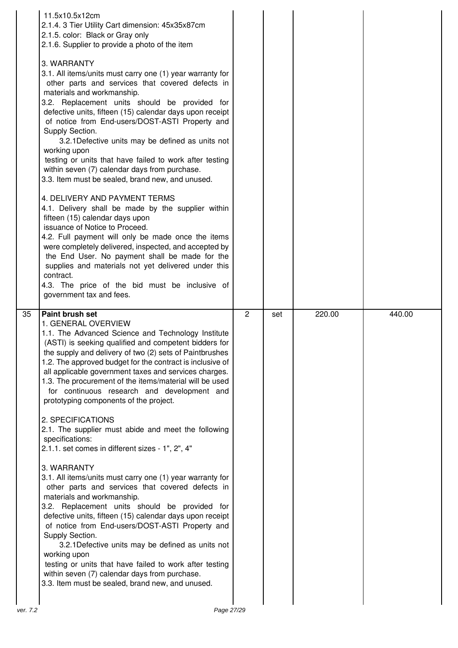|    | 11.5x10.5x12cm<br>2.1.4. 3 Tier Utility Cart dimension: 45x35x87cm<br>2.1.5. color: Black or Gray only<br>2.1.6. Supplier to provide a photo of the item<br>3. WARRANTY<br>3.1. All items/units must carry one (1) year warranty for<br>other parts and services that covered defects in<br>materials and workmanship.<br>3.2. Replacement units should be provided for<br>defective units, fifteen (15) calendar days upon receipt<br>of notice from End-users/DOST-ASTI Property and<br>Supply Section.<br>3.2.1 Defective units may be defined as units not<br>working upon<br>testing or units that have failed to work after testing<br>within seven (7) calendar days from purchase.<br>3.3. Item must be sealed, brand new, and unused.<br>4. DELIVERY AND PAYMENT TERMS<br>4.1. Delivery shall be made by the supplier within<br>fifteen (15) calendar days upon<br>issuance of Notice to Proceed.<br>4.2. Full payment will only be made once the items<br>were completely delivered, inspected, and accepted by<br>the End User. No payment shall be made for the<br>supplies and materials not yet delivered under this<br>contract.<br>4.3. The price of the bid must be inclusive of<br>government tax and fees. |                |     |        |        |
|----|-------------------------------------------------------------------------------------------------------------------------------------------------------------------------------------------------------------------------------------------------------------------------------------------------------------------------------------------------------------------------------------------------------------------------------------------------------------------------------------------------------------------------------------------------------------------------------------------------------------------------------------------------------------------------------------------------------------------------------------------------------------------------------------------------------------------------------------------------------------------------------------------------------------------------------------------------------------------------------------------------------------------------------------------------------------------------------------------------------------------------------------------------------------------------------------------------------------------------------|----------------|-----|--------|--------|
| 35 | Paint brush set<br>1. GENERAL OVERVIEW                                                                                                                                                                                                                                                                                                                                                                                                                                                                                                                                                                                                                                                                                                                                                                                                                                                                                                                                                                                                                                                                                                                                                                                        | $\overline{2}$ | set | 220.00 | 440.00 |
|    | 1.1. The Advanced Science and Technology Institute<br>(ASTI) is seeking qualified and competent bidders for<br>the supply and delivery of two (2) sets of Paintbrushes<br>1.2. The approved budget for the contract is inclusive of<br>all applicable government taxes and services charges.<br>1.3. The procurement of the items/material will be used<br>for continuous research and development and<br>prototyping components of the project.<br>2. SPECIFICATIONS<br>2.1. The supplier must abide and meet the following<br>specifications:<br>2.1.1. set comes in different sizes - 1", 2", 4"<br>3. WARRANTY<br>3.1. All items/units must carry one (1) year warranty for<br>other parts and services that covered defects in<br>materials and workmanship.<br>3.2. Replacement units should be provided for<br>defective units, fifteen (15) calendar days upon receipt<br>of notice from End-users/DOST-ASTI Property and<br>Supply Section.                                                                                                                                                                                                                                                                          |                |     |        |        |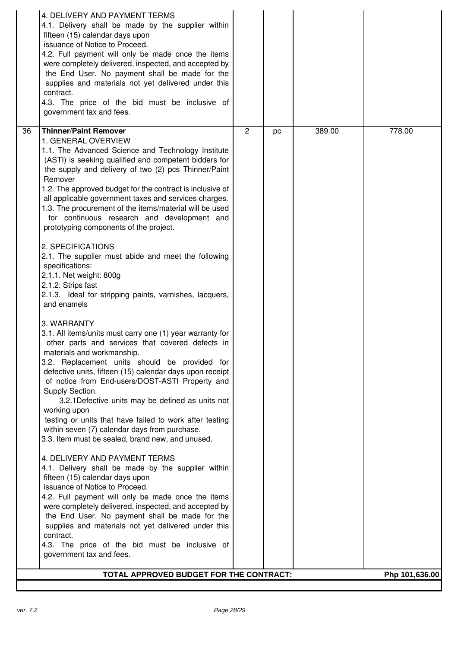|    | 4. DELIVERY AND PAYMENT TERMS<br>4.1. Delivery shall be made by the supplier within                                                                                 |                |    |        |                |
|----|---------------------------------------------------------------------------------------------------------------------------------------------------------------------|----------------|----|--------|----------------|
|    | fifteen (15) calendar days upon<br>issuance of Notice to Proceed.                                                                                                   |                |    |        |                |
|    | 4.2. Full payment will only be made once the items                                                                                                                  |                |    |        |                |
|    | were completely delivered, inspected, and accepted by<br>the End User. No payment shall be made for the                                                             |                |    |        |                |
|    | supplies and materials not yet delivered under this<br>contract.                                                                                                    |                |    |        |                |
|    | 4.3. The price of the bid must be inclusive of<br>government tax and fees.                                                                                          |                |    |        |                |
|    |                                                                                                                                                                     |                |    |        |                |
| 36 | <b>Thinner/Paint Remover</b><br>1. GENERAL OVERVIEW                                                                                                                 | $\overline{c}$ | pc | 389.00 | 778.00         |
|    | 1.1. The Advanced Science and Technology Institute<br>(ASTI) is seeking qualified and competent bidders for<br>the supply and delivery of two (2) pcs Thinner/Paint |                |    |        |                |
|    | Remover<br>1.2. The approved budget for the contract is inclusive of<br>all applicable government taxes and services charges.                                       |                |    |        |                |
|    | 1.3. The procurement of the items/material will be used<br>for continuous research and development and<br>prototyping components of the project.                    |                |    |        |                |
|    | 2. SPECIFICATIONS<br>2.1. The supplier must abide and meet the following                                                                                            |                |    |        |                |
|    | specifications:<br>2.1.1. Net weight: 800g                                                                                                                          |                |    |        |                |
|    | 2.1.2. Strips fast<br>2.1.3. Ideal for stripping paints, varnishes, lacquers,<br>and enamels                                                                        |                |    |        |                |
|    | 3. WARRANTY                                                                                                                                                         |                |    |        |                |
|    | 3.1. All items/units must carry one (1) year warranty for<br>other parts and services that covered defects in                                                       |                |    |        |                |
|    | materials and workmanship.<br>3.2. Replacement units should be provided for                                                                                         |                |    |        |                |
|    | defective units, fifteen (15) calendar days upon receipt<br>of notice from End-users/DOST-ASTI Property and<br>Supply Section.                                      |                |    |        |                |
|    | 3.2.1 Defective units may be defined as units not<br>working upon                                                                                                   |                |    |        |                |
|    | testing or units that have failed to work after testing<br>within seven (7) calendar days from purchase.                                                            |                |    |        |                |
|    | 3.3. Item must be sealed, brand new, and unused.                                                                                                                    |                |    |        |                |
|    | 4. DELIVERY AND PAYMENT TERMS<br>4.1. Delivery shall be made by the supplier within                                                                                 |                |    |        |                |
|    | fifteen (15) calendar days upon                                                                                                                                     |                |    |        |                |
|    | issuance of Notice to Proceed.<br>4.2. Full payment will only be made once the items                                                                                |                |    |        |                |
|    | were completely delivered, inspected, and accepted by<br>the End User. No payment shall be made for the<br>supplies and materials not yet delivered under this      |                |    |        |                |
|    | contract.                                                                                                                                                           |                |    |        |                |
|    | 4.3. The price of the bid must be inclusive of<br>government tax and fees.                                                                                          |                |    |        |                |
|    | TOTAL APPROVED BUDGET FOR THE CONTRACT:                                                                                                                             |                |    |        | Php 101,636.00 |
|    |                                                                                                                                                                     |                |    |        |                |